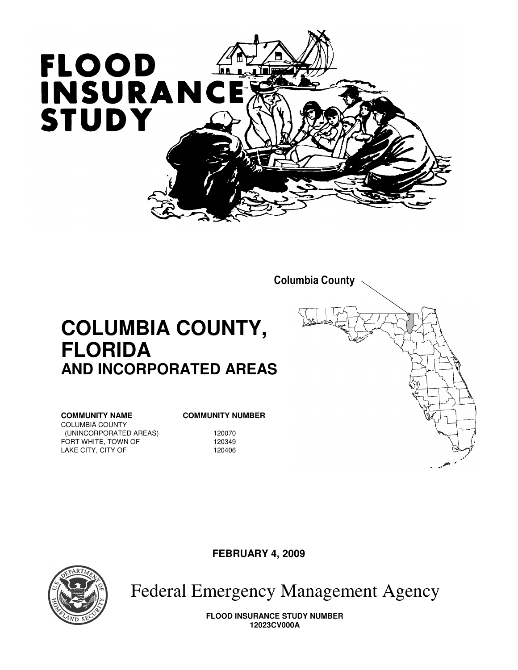



**FEBRUARY 4, 2009** 



**FLORIDA** 

COLUMBIA COUNTY

LAKE CITY, CITY OF

Federal Emergency Management Agency

**FLOOD INSURANCE STUDY NUMBER 12023CV000A**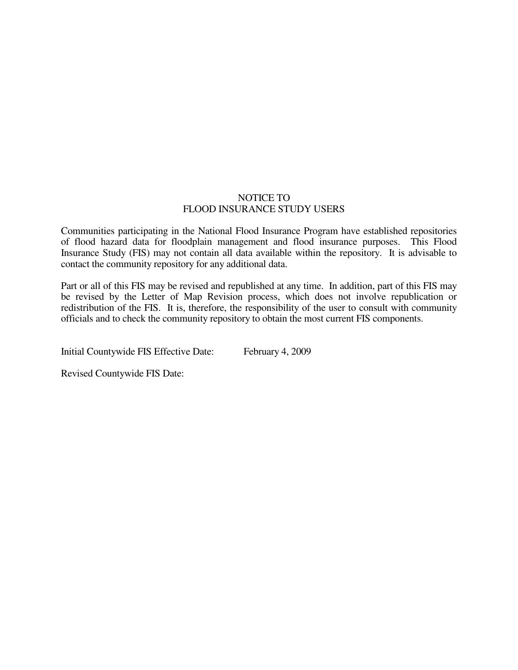#### NOTICE TO FLOOD INSURANCE STUDY USERS

Communities participating in the National Flood Insurance Program have established repositories of flood hazard data for floodplain management and flood insurance purposes. This Flood Insurance Study (FIS) may not contain all data available within the repository. It is advisable to contact the community repository for any additional data.

Part or all of this FIS may be revised and republished at any time. In addition, part of this FIS may be revised by the Letter of Map Revision process, which does not involve republication or redistribution of the FIS. It is, therefore, the responsibility of the user to consult with community officials and to check the community repository to obtain the most current FIS components.

Initial Countywide FIS Effective Date: February 4, 2009

Revised Countywide FIS Date: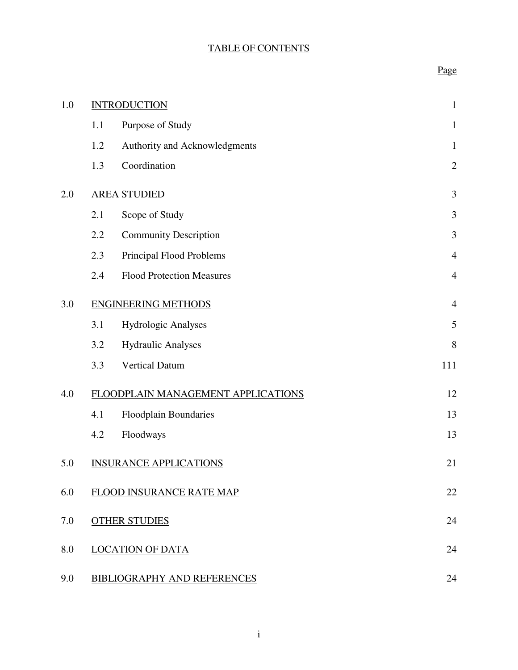## TABLE OF CONTENTS

## Page

| 1.0 |     | <b>INTRODUCTION</b>                | $\mathbf{1}$   |
|-----|-----|------------------------------------|----------------|
|     | 1.1 | Purpose of Study                   | $\mathbf{1}$   |
|     | 1.2 | Authority and Acknowledgments      | $\mathbf{1}$   |
|     | 1.3 | Coordination                       | $\mathbf{2}$   |
| 2.0 |     | <b>AREA STUDIED</b>                | 3              |
|     | 2.1 | Scope of Study                     | 3              |
|     | 2.2 | <b>Community Description</b>       | 3              |
|     | 2.3 | Principal Flood Problems           | $\overline{4}$ |
|     | 2.4 | <b>Flood Protection Measures</b>   | $\overline{4}$ |
| 3.0 |     | <b>ENGINEERING METHODS</b>         | $\overline{4}$ |
|     | 3.1 | Hydrologic Analyses                | 5              |
|     | 3.2 | <b>Hydraulic Analyses</b>          | 8              |
|     | 3.3 | <b>Vertical Datum</b>              | 111            |
| 4.0 |     | FLOODPLAIN MANAGEMENT APPLICATIONS | 12             |
|     | 4.1 | Floodplain Boundaries              | 13             |
|     | 4.2 | Floodways                          | 13             |
| 5.0 |     | <b>INSURANCE APPLICATIONS</b>      | 21             |
| 6.0 |     | FLOOD INSURANCE RATE MAP           | 22             |
| 7.0 |     | <b>OTHER STUDIES</b>               | 24             |
| 8.0 |     | <b>LOCATION OF DATA</b>            | 24             |
| 9.0 |     | <b>BIBLIOGRAPHY AND REFERENCES</b> | 24             |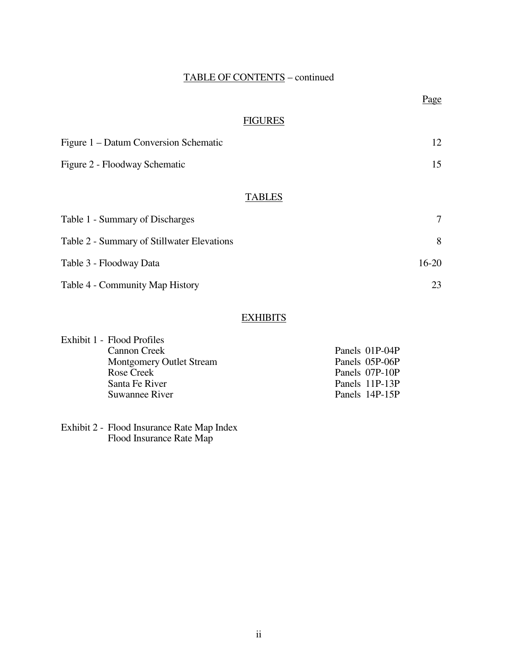## TABLE OF CONTENTS – continued

#### **FIGURES**

| Figure 1 – Datum Conversion Schematic |  |
|---------------------------------------|--|
| Figure 2 - Floodway Schematic         |  |

## **TABLES**

| Table 1 - Summary of Discharges            |         |
|--------------------------------------------|---------|
| Table 2 - Summary of Stillwater Elevations | 8       |
| Table 3 - Floodway Data                    | $16-20$ |
| Table 4 - Community Map History            |         |

## **EXHIBITS**

| Exhibit 1 - Flood Profiles      |                |
|---------------------------------|----------------|
| Cannon Creek                    | Panels 01P-04P |
| <b>Montgomery Outlet Stream</b> | Panels 05P-06P |
| Rose Creek                      | Panels 07P-10P |
| Santa Fe River                  | Panels 11P-13P |
| <b>Suwannee River</b>           | Panels 14P-15P |

Exhibit 2 - Flood Insurance Rate Map Index Flood Insurance Rate Map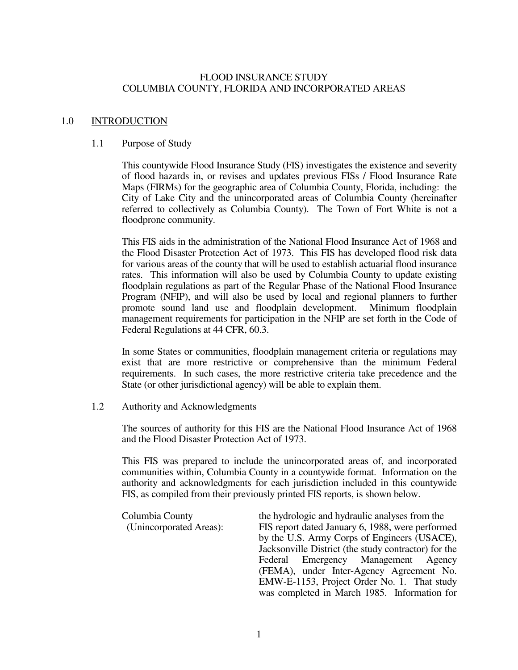#### FLOOD INSURANCE STUDY COLUMBIA COUNTY, FLORIDA AND INCORPORATED AREAS

#### 1.0 INTRODUCTION

#### 1.1 Purpose of Study

 This countywide Flood Insurance Study (FIS) investigates the existence and severity of flood hazards in, or revises and updates previous FISs / Flood Insurance Rate Maps (FIRMs) for the geographic area of Columbia County, Florida, including: the City of Lake City and the unincorporated areas of Columbia County (hereinafter referred to collectively as Columbia County). The Town of Fort White is not a floodprone community.

 This FIS aids in the administration of the National Flood Insurance Act of 1968 and the Flood Disaster Protection Act of 1973. This FIS has developed flood risk data for various areas of the county that will be used to establish actuarial flood insurance rates. This information will also be used by Columbia County to update existing floodplain regulations as part of the Regular Phase of the National Flood Insurance Program (NFIP), and will also be used by local and regional planners to further promote sound land use and floodplain development. Minimum floodplain management requirements for participation in the NFIP are set forth in the Code of Federal Regulations at 44 CFR, 60.3.

 In some States or communities, floodplain management criteria or regulations may exist that are more restrictive or comprehensive than the minimum Federal requirements. In such cases, the more restrictive criteria take precedence and the State (or other jurisdictional agency) will be able to explain them.

#### 1.2 Authority and Acknowledgments

 The sources of authority for this FIS are the National Flood Insurance Act of 1968 and the Flood Disaster Protection Act of 1973.

 This FIS was prepared to include the unincorporated areas of, and incorporated communities within, Columbia County in a countywide format. Information on the authority and acknowledgments for each jurisdiction included in this countywide FIS, as compiled from their previously printed FIS reports, is shown below.

| Columbia County         | the hydrologic and hydraulic analyses from the       |
|-------------------------|------------------------------------------------------|
| (Unincorporated Areas): | FIS report dated January 6, 1988, were performed     |
|                         | by the U.S. Army Corps of Engineers (USACE),         |
|                         | Jacksonville District (the study contractor) for the |
|                         | Federal Emergency Management Agency                  |
|                         | (FEMA), under Inter-Agency Agreement No.             |
|                         | EMW-E-1153, Project Order No. 1. That study          |
|                         | was completed in March 1985. Information for         |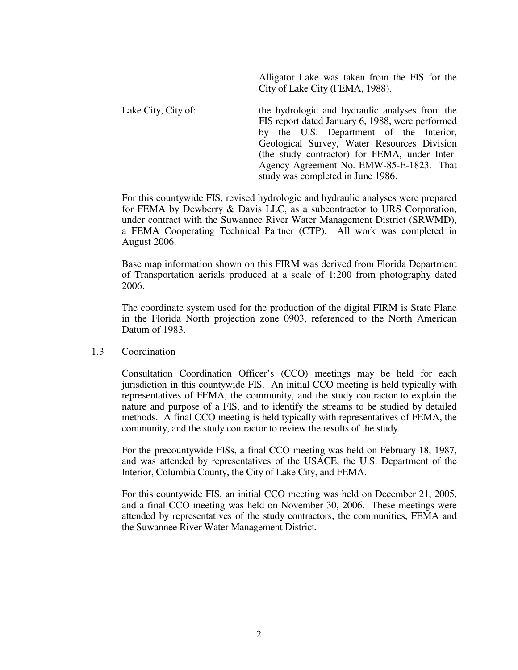Alligator Lake was taken from the FIS for the City of Lake City (FEMA, 1988).

Lake City, City of: the hydrologic and hydraulic analyses from the FIS report dated January 6, 1988, were performed by the U.S. Department of the Interior, Geological Survey, Water Resources Division (the study contractor) for FEMA, under Inter-Agency Agreement No. EMW-85-E-1823. That study was completed in June 1986.

For this countywide FIS, revised hydrologic and hydraulic analyses were prepared for FEMA by Dewberry & Davis LLC, as a subcontractor to URS Corporation, under contract with the Suwannee River Water Management District (SRWMD), a FEMA Cooperating Technical Partner (CTP). All work was completed in August 2006.

Base map information shown on this FIRM was derived from Florida Department of Transportation aerials produced at a scale of 1:200 from photography dated 2006.

The coordinate system used for the production of the digital FIRM is State Plane in the Florida North projection zone 0903, referenced to the North American Datum of 1983.

#### 1.3 Coordination

 Consultation Coordination Officer's (CCO) meetings may be held for each jurisdiction in this countywide FIS. An initial CCO meeting is held typically with representatives of FEMA, the community, and the study contractor to explain the nature and purpose of a FIS, and to identify the streams to be studied by detailed methods. A final CCO meeting is held typically with representatives of FEMA, the community, and the study contractor to review the results of the study.

For the precountywide FISs, a final CCO meeting was held on February 18, 1987, and was attended by representatives of the USACE, the U.S. Department of the Interior, Columbia County, the City of Lake City, and FEMA.

For this countywide FIS, an initial CCO meeting was held on December 21, 2005, and a final CCO meeting was held on November 30, 2006. These meetings were attended by representatives of the study contractors, the communities, FEMA and the Suwannee River Water Management District.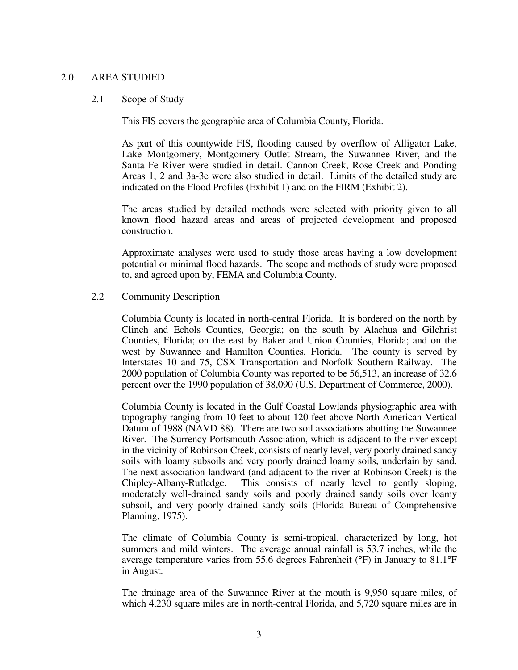#### 2.0 AREA STUDIED

#### 2.1 Scope of Study

This FIS covers the geographic area of Columbia County, Florida.

As part of this countywide FIS, flooding caused by overflow of Alligator Lake, Lake Montgomery, Montgomery Outlet Stream, the Suwannee River, and the Santa Fe River were studied in detail. Cannon Creek, Rose Creek and Ponding Areas 1, 2 and 3a-3e were also studied in detail. Limits of the detailed study are indicated on the Flood Profiles (Exhibit 1) and on the FIRM (Exhibit 2).

 The areas studied by detailed methods were selected with priority given to all known flood hazard areas and areas of projected development and proposed construction.

 Approximate analyses were used to study those areas having a low development potential or minimal flood hazards. The scope and methods of study were proposed to, and agreed upon by, FEMA and Columbia County.

#### 2.2 Community Description

 Columbia County is located in north-central Florida. It is bordered on the north by Clinch and Echols Counties, Georgia; on the south by Alachua and Gilchrist Counties, Florida; on the east by Baker and Union Counties, Florida; and on the west by Suwannee and Hamilton Counties, Florida. The county is served by Interstates 10 and 75, CSX Transportation and Norfolk Southern Railway. The 2000 population of Columbia County was reported to be 56,513, an increase of 32.6 percent over the 1990 population of 38,090 (U.S. Department of Commerce, 2000).

 Columbia County is located in the Gulf Coastal Lowlands physiographic area with topography ranging from 10 feet to about 120 feet above North American Vertical Datum of 1988 (NAVD 88). There are two soil associations abutting the Suwannee River. The Surrency-Portsmouth Association, which is adjacent to the river except in the vicinity of Robinson Creek, consists of nearly level, very poorly drained sandy soils with loamy subsoils and very poorly drained loamy soils, underlain by sand. The next association landward (and adjacent to the river at Robinson Creek) is the Chipley-Albany-Rutledge. This consists of nearly level to gently sloping, moderately well-drained sandy soils and poorly drained sandy soils over loamy subsoil, and very poorly drained sandy soils (Florida Bureau of Comprehensive Planning, 1975).

 The climate of Columbia County is semi-tropical, characterized by long, hot summers and mild winters. The average annual rainfall is 53.7 inches, while the average temperature varies from 55.6 degrees Fahrenheit (°F) in January to 81.1°F in August.

 The drainage area of the Suwannee River at the mouth is 9,950 square miles, of which 4,230 square miles are in north-central Florida, and 5,720 square miles are in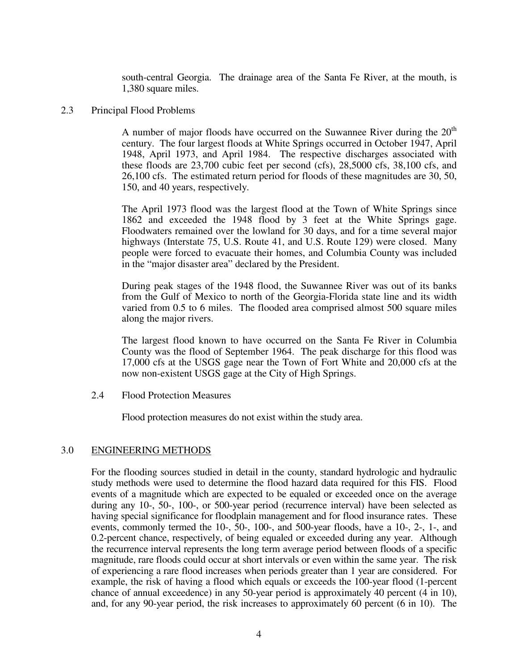south-central Georgia. The drainage area of the Santa Fe River, at the mouth, is 1,380 square miles.

#### 2.3 Principal Flood Problems

A number of major floods have occurred on the Suwannee River during the  $20<sup>th</sup>$ century. The four largest floods at White Springs occurred in October 1947, April 1948, April 1973, and April 1984. The respective discharges associated with these floods are 23,700 cubic feet per second (cfs), 28,5000 cfs, 38,100 cfs, and 26,100 cfs. The estimated return period for floods of these magnitudes are 30, 50, 150, and 40 years, respectively.

The April 1973 flood was the largest flood at the Town of White Springs since 1862 and exceeded the 1948 flood by 3 feet at the White Springs gage. Floodwaters remained over the lowland for 30 days, and for a time several major highways (Interstate 75, U.S. Route 41, and U.S. Route 129) were closed. Many people were forced to evacuate their homes, and Columbia County was included in the "major disaster area" declared by the President.

During peak stages of the 1948 flood, the Suwannee River was out of its banks from the Gulf of Mexico to north of the Georgia-Florida state line and its width varied from 0.5 to 6 miles. The flooded area comprised almost 500 square miles along the major rivers.

The largest flood known to have occurred on the Santa Fe River in Columbia County was the flood of September 1964. The peak discharge for this flood was 17,000 cfs at the USGS gage near the Town of Fort White and 20,000 cfs at the now non-existent USGS gage at the City of High Springs.

2.4 Flood Protection Measures

Flood protection measures do not exist within the study area.

#### 3.0 ENGINEERING METHODS

 For the flooding sources studied in detail in the county, standard hydrologic and hydraulic study methods were used to determine the flood hazard data required for this FIS. Flood events of a magnitude which are expected to be equaled or exceeded once on the average during any 10-, 50-, 100-, or 500-year period (recurrence interval) have been selected as having special significance for floodplain management and for flood insurance rates. These events, commonly termed the 10-, 50-, 100-, and 500-year floods, have a 10-, 2-, 1-, and 0.2-percent chance, respectively, of being equaled or exceeded during any year. Although the recurrence interval represents the long term average period between floods of a specific magnitude, rare floods could occur at short intervals or even within the same year. The risk of experiencing a rare flood increases when periods greater than 1 year are considered. For example, the risk of having a flood which equals or exceeds the 100-year flood (1-percent chance of annual exceedence) in any 50-year period is approximately 40 percent (4 in 10), and, for any 90-year period, the risk increases to approximately 60 percent (6 in 10). The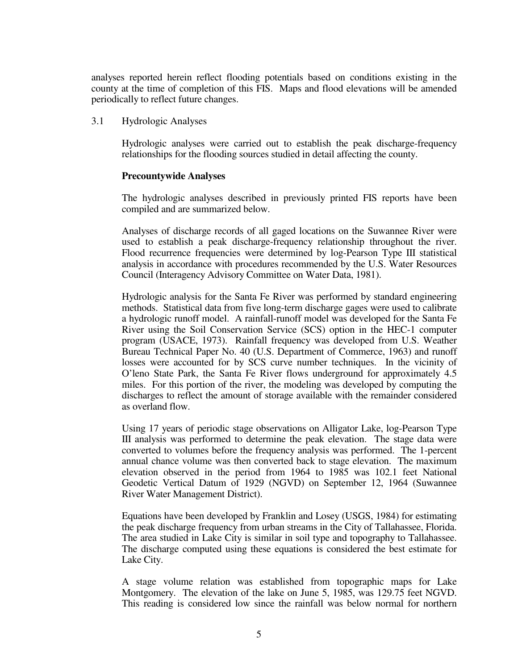analyses reported herein reflect flooding potentials based on conditions existing in the county at the time of completion of this FIS. Maps and flood elevations will be amended periodically to reflect future changes.

3.1 Hydrologic Analyses

 Hydrologic analyses were carried out to establish the peak discharge-frequency relationships for the flooding sources studied in detail affecting the county.

#### **Precountywide Analyses**

 The hydrologic analyses described in previously printed FIS reports have been compiled and are summarized below.

 Analyses of discharge records of all gaged locations on the Suwannee River were used to establish a peak discharge-frequency relationship throughout the river. Flood recurrence frequencies were determined by log-Pearson Type III statistical analysis in accordance with procedures recommended by the U.S. Water Resources Council (Interagency Advisory Committee on Water Data, 1981).

 Hydrologic analysis for the Santa Fe River was performed by standard engineering methods. Statistical data from five long-term discharge gages were used to calibrate a hydrologic runoff model. A rainfall-runoff model was developed for the Santa Fe River using the Soil Conservation Service (SCS) option in the HEC-1 computer program (USACE, 1973). Rainfall frequency was developed from U.S. Weather Bureau Technical Paper No. 40 (U.S. Department of Commerce, 1963) and runoff losses were accounted for by SCS curve number techniques. In the vicinity of O'leno State Park, the Santa Fe River flows underground for approximately 4.5 miles. For this portion of the river, the modeling was developed by computing the discharges to reflect the amount of storage available with the remainder considered as overland flow.

 Using 17 years of periodic stage observations on Alligator Lake, log-Pearson Type III analysis was performed to determine the peak elevation. The stage data were converted to volumes before the frequency analysis was performed. The 1-percent annual chance volume was then converted back to stage elevation. The maximum elevation observed in the period from 1964 to 1985 was 102.1 feet National Geodetic Vertical Datum of 1929 (NGVD) on September 12, 1964 (Suwannee River Water Management District).

 Equations have been developed by Franklin and Losey (USGS, 1984) for estimating the peak discharge frequency from urban streams in the City of Tallahassee, Florida. The area studied in Lake City is similar in soil type and topography to Tallahassee. The discharge computed using these equations is considered the best estimate for Lake City.

 A stage volume relation was established from topographic maps for Lake Montgomery. The elevation of the lake on June 5, 1985, was 129.75 feet NGVD. This reading is considered low since the rainfall was below normal for northern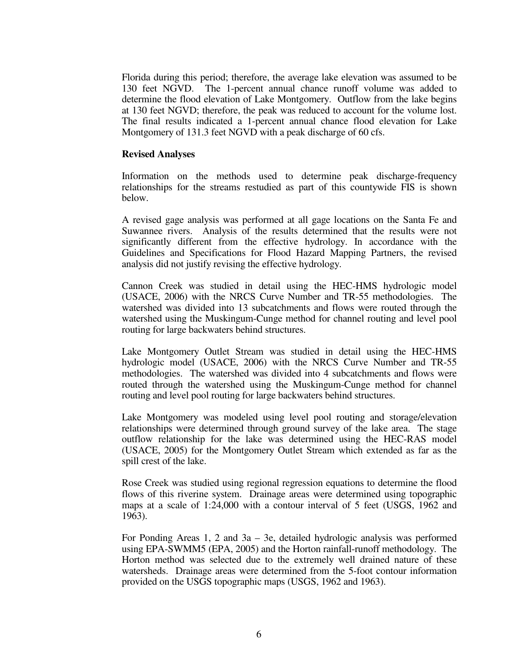Florida during this period; therefore, the average lake elevation was assumed to be 130 feet NGVD. The 1-percent annual chance runoff volume was added to determine the flood elevation of Lake Montgomery. Outflow from the lake begins at 130 feet NGVD; therefore, the peak was reduced to account for the volume lost. The final results indicated a 1-percent annual chance flood elevation for Lake Montgomery of 131.3 feet NGVD with a peak discharge of 60 cfs.

#### **Revised Analyses**

 Information on the methods used to determine peak discharge-frequency relationships for the streams restudied as part of this countywide FIS is shown below.

 A revised gage analysis was performed at all gage locations on the Santa Fe and Suwannee rivers. Analysis of the results determined that the results were not significantly different from the effective hydrology. In accordance with the Guidelines and Specifications for Flood Hazard Mapping Partners, the revised analysis did not justify revising the effective hydrology.

 Cannon Creek was studied in detail using the HEC-HMS hydrologic model (USACE, 2006) with the NRCS Curve Number and TR-55 methodologies. The watershed was divided into 13 subcatchments and flows were routed through the watershed using the Muskingum-Cunge method for channel routing and level pool routing for large backwaters behind structures.

 Lake Montgomery Outlet Stream was studied in detail using the HEC-HMS hydrologic model (USACE, 2006) with the NRCS Curve Number and TR-55 methodologies. The watershed was divided into 4 subcatchments and flows were routed through the watershed using the Muskingum-Cunge method for channel routing and level pool routing for large backwaters behind structures.

 Lake Montgomery was modeled using level pool routing and storage/elevation relationships were determined through ground survey of the lake area. The stage outflow relationship for the lake was determined using the HEC-RAS model (USACE, 2005) for the Montgomery Outlet Stream which extended as far as the spill crest of the lake.

 Rose Creek was studied using regional regression equations to determine the flood flows of this riverine system. Drainage areas were determined using topographic maps at a scale of 1:24,000 with a contour interval of 5 feet (USGS, 1962 and 1963).

 For Ponding Areas 1, 2 and 3a – 3e, detailed hydrologic analysis was performed using EPA-SWMM5 (EPA, 2005) and the Horton rainfall-runoff methodology. The Horton method was selected due to the extremely well drained nature of these watersheds. Drainage areas were determined from the 5-foot contour information provided on the USGS topographic maps (USGS, 1962 and 1963).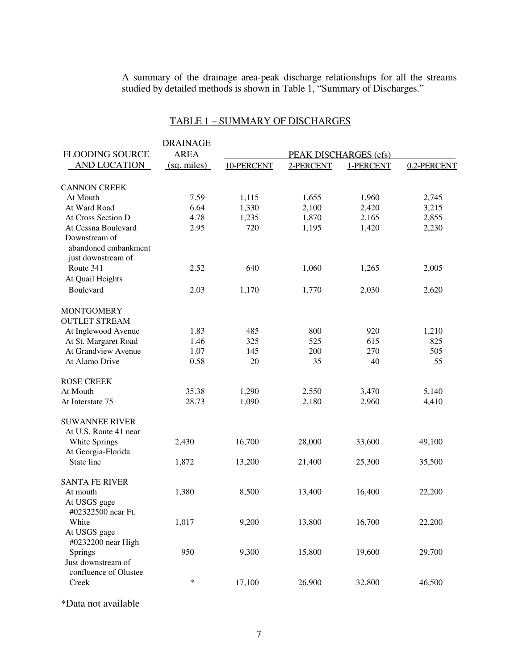A summary of the drainage area-peak discharge relationships for all the streams studied by detailed methods is shown in Table 1, "Summary of Discharges."

## TABLE 1 – SUMMARY OF DISCHARGES

|                                                             | <b>DRAINAGE</b> |            |           |                       |             |
|-------------------------------------------------------------|-----------------|------------|-----------|-----------------------|-------------|
| <b>FLOODING SOURCE</b>                                      | <b>AREA</b>     |            |           | PEAK DISCHARGES (cfs) |             |
| <b>AND LOCATION</b>                                         | (sq. miles)     | 10-PERCENT | 2-PERCENT | 1-PERCENT             | 0.2-PERCENT |
| <b>CANNON CREEK</b>                                         |                 |            |           |                       |             |
| At Mouth                                                    | 7.59            | 1,115      | 1,655     | 1,960                 | 2,745       |
| At Ward Road                                                | 6.64            | 1,330      | 2,100     | 2,420                 | 3,215       |
| At Cross Section D                                          | 4.78            | 1,235      | 1,870     | 2,165                 | 2,855       |
| At Cessna Boulevard                                         | 2.95            | 720        | 1,195     | 1,420                 | 2,230       |
| Downstream of<br>abandoned embankment<br>just downstream of |                 |            |           |                       |             |
| Route 341                                                   | 2.52            | 640        | 1,060     | 1,265                 | 2,005       |
| At Quail Heights                                            |                 |            |           |                       |             |
| Boulevard                                                   | 2.03            | 1,170      | 1,770     | 2,030                 | 2,620       |
| <b>MONTGOMERY</b><br><b>OUTLET STREAM</b>                   |                 |            |           |                       |             |
| At Inglewood Avenue                                         | 1.83            | 485        | 800       | 920                   | 1,210       |
| At St. Margaret Road                                        | 1.46            | 325        | 525       | 615                   | 825         |
| At Grandview Avenue                                         | 1.07            | 145        | 200       | 270                   | 505         |
| At Alamo Drive                                              | 0.58            | 20         | 35        | 40                    | 55          |
| <b>ROSE CREEK</b>                                           |                 |            |           |                       |             |
| At Mouth                                                    | 35.38           | 1,290      | 2,550     | 3,470                 | 5,140       |
| At Interstate 75                                            | 28.73           | 1,090      | 2,180     | 2,960                 | 4,410       |
| <b>SUWANNEE RIVER</b><br>At U.S. Route 41 near              |                 |            |           |                       |             |
| White Springs<br>At Georgia-Florida                         | 2,430           | 16,700     | 28,000    | 33,600                | 49,100      |
| State line                                                  | 1,872           | 13,200     | 21,400    | 25,300                | 35,500      |
| <b>SANTA FE RIVER</b>                                       |                 |            |           |                       |             |
| At mouth<br>At USGS gage<br>#02322500 near Ft.              | 1,380           | 8,500      | 13,400    | 16,400                | 22,200      |
| White<br>At USGS gage<br>#0232200 near High                 | 1,017           | 9,200      | 13,800    | 16,700                | 22,200      |
| Springs<br>Just downstream of<br>confluence of Olustee      | 950             | 9,300      | 15,800    | 19,600                | 29,700      |
| Creek                                                       | $\ast$          | 17,100     | 26,900    | 32,800                | 46,500      |

\*Data not available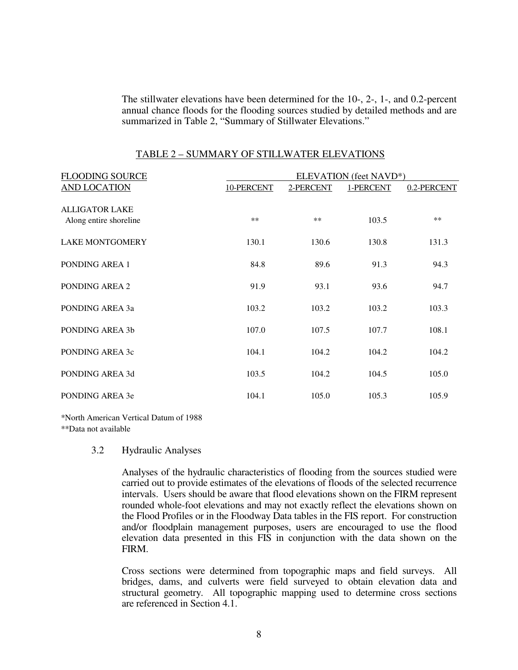The stillwater elevations have been determined for the 10-, 2-, 1-, and 0.2-percent annual chance floods for the flooding sources studied by detailed methods and are summarized in Table 2, "Summary of Stillwater Elevations."

| <b>FLOODING SOURCE</b>                          | ELEVATION (feet NAVD*) |           |           |             |  |  |  |  |
|-------------------------------------------------|------------------------|-----------|-----------|-------------|--|--|--|--|
| <b>AND LOCATION</b>                             | 10-PERCENT             | 2-PERCENT | 1-PERCENT | 0.2-PERCENT |  |  |  |  |
| <b>ALLIGATOR LAKE</b><br>Along entire shoreline | $***$                  | $***$     | 103.5     | $**$        |  |  |  |  |
| <b>LAKE MONTGOMERY</b>                          | 130.1                  | 130.6     | 130.8     | 131.3       |  |  |  |  |
| PONDING AREA 1                                  | 84.8                   | 89.6      | 91.3      | 94.3        |  |  |  |  |
| PONDING AREA 2                                  | 91.9                   | 93.1      | 93.6      | 94.7        |  |  |  |  |
| PONDING AREA 3a                                 | 103.2                  | 103.2     | 103.2     | 103.3       |  |  |  |  |
| PONDING AREA 3b                                 | 107.0                  | 107.5     | 107.7     | 108.1       |  |  |  |  |
| PONDING AREA 3c                                 | 104.1                  | 104.2     | 104.2     | 104.2       |  |  |  |  |
| PONDING AREA 3d                                 | 103.5                  | 104.2     | 104.5     | 105.0       |  |  |  |  |
| PONDING AREA 3e                                 | 104.1                  | 105.0     | 105.3     | 105.9       |  |  |  |  |

#### TABLE 2 – SUMMARY OF STILLWATER ELEVATIONS

\*North American Vertical Datum of 1988

\*\*Data not available

#### 3.2 Hydraulic Analyses

Analyses of the hydraulic characteristics of flooding from the sources studied were carried out to provide estimates of the elevations of floods of the selected recurrence intervals. Users should be aware that flood elevations shown on the FIRM represent rounded whole-foot elevations and may not exactly reflect the elevations shown on the Flood Profiles or in the Floodway Data tables in the FIS report. For construction and/or floodplain management purposes, users are encouraged to use the flood elevation data presented in this FIS in conjunction with the data shown on the FIRM.

 Cross sections were determined from topographic maps and field surveys. All bridges, dams, and culverts were field surveyed to obtain elevation data and structural geometry. All topographic mapping used to determine cross sections are referenced in Section 4.1.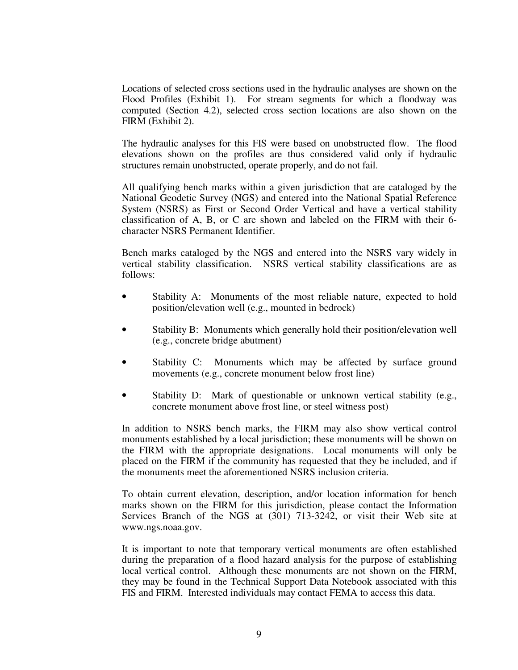Locations of selected cross sections used in the hydraulic analyses are shown on the Flood Profiles (Exhibit 1). For stream segments for which a floodway was computed (Section 4.2), selected cross section locations are also shown on the FIRM (Exhibit 2).

 The hydraulic analyses for this FIS were based on unobstructed flow. The flood elevations shown on the profiles are thus considered valid only if hydraulic structures remain unobstructed, operate properly, and do not fail.

All qualifying bench marks within a given jurisdiction that are cataloged by the National Geodetic Survey (NGS) and entered into the National Spatial Reference System (NSRS) as First or Second Order Vertical and have a vertical stability classification of A, B, or C are shown and labeled on the FIRM with their 6 character NSRS Permanent Identifier.

Bench marks cataloged by the NGS and entered into the NSRS vary widely in vertical stability classification. NSRS vertical stability classifications are as follows:

- Stability A: Monuments of the most reliable nature, expected to hold position/elevation well (e.g., mounted in bedrock)
- Stability B: Monuments which generally hold their position/elevation well (e.g., concrete bridge abutment)
- Stability C: Monuments which may be affected by surface ground movements (e.g., concrete monument below frost line)
- Stability D: Mark of questionable or unknown vertical stability (e.g., concrete monument above frost line, or steel witness post)

In addition to NSRS bench marks, the FIRM may also show vertical control monuments established by a local jurisdiction; these monuments will be shown on the FIRM with the appropriate designations. Local monuments will only be placed on the FIRM if the community has requested that they be included, and if the monuments meet the aforementioned NSRS inclusion criteria.

To obtain current elevation, description, and/or location information for bench marks shown on the FIRM for this jurisdiction, please contact the Information Services Branch of the NGS at (301) 713-3242, or visit their Web site at www.ngs.noaa.gov.

It is important to note that temporary vertical monuments are often established during the preparation of a flood hazard analysis for the purpose of establishing local vertical control. Although these monuments are not shown on the FIRM, they may be found in the Technical Support Data Notebook associated with this FIS and FIRM. Interested individuals may contact FEMA to access this data.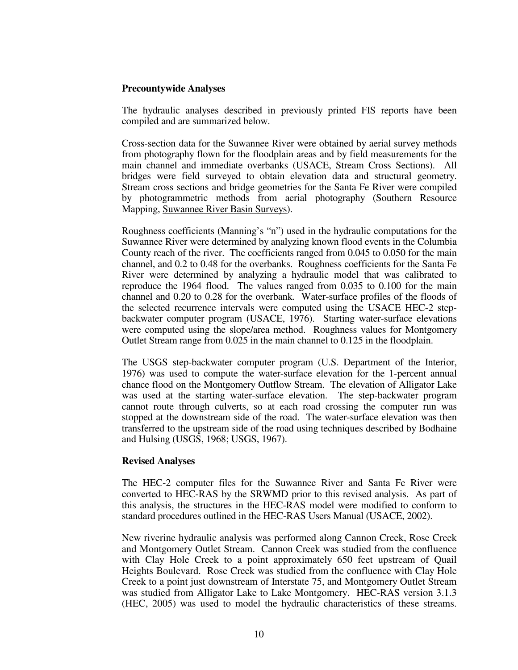#### **Precountywide Analyses**

 The hydraulic analyses described in previously printed FIS reports have been compiled and are summarized below.

 Cross-section data for the Suwannee River were obtained by aerial survey methods from photography flown for the floodplain areas and by field measurements for the main channel and immediate overbanks (USACE, Stream Cross Sections). All bridges were field surveyed to obtain elevation data and structural geometry. Stream cross sections and bridge geometries for the Santa Fe River were compiled by photogrammetric methods from aerial photography (Southern Resource Mapping, Suwannee River Basin Surveys).

 Roughness coefficients (Manning's "n") used in the hydraulic computations for the Suwannee River were determined by analyzing known flood events in the Columbia County reach of the river. The coefficients ranged from 0.045 to 0.050 for the main channel, and 0.2 to 0.48 for the overbanks. Roughness coefficients for the Santa Fe River were determined by analyzing a hydraulic model that was calibrated to reproduce the 1964 flood. The values ranged from 0.035 to 0.100 for the main channel and 0.20 to 0.28 for the overbank. Water-surface profiles of the floods of the selected recurrence intervals were computed using the USACE HEC-2 stepbackwater computer program (USACE, 1976). Starting water-surface elevations were computed using the slope/area method. Roughness values for Montgomery Outlet Stream range from 0.025 in the main channel to 0.125 in the floodplain.

 The USGS step-backwater computer program (U.S. Department of the Interior, 1976) was used to compute the water-surface elevation for the 1-percent annual chance flood on the Montgomery Outflow Stream. The elevation of Alligator Lake was used at the starting water-surface elevation. The step-backwater program cannot route through culverts, so at each road crossing the computer run was stopped at the downstream side of the road. The water-surface elevation was then transferred to the upstream side of the road using techniques described by Bodhaine and Hulsing (USGS, 1968; USGS, 1967).

#### **Revised Analyses**

 The HEC-2 computer files for the Suwannee River and Santa Fe River were converted to HEC-RAS by the SRWMD prior to this revised analysis. As part of this analysis, the structures in the HEC-RAS model were modified to conform to standard procedures outlined in the HEC-RAS Users Manual (USACE, 2002).

 New riverine hydraulic analysis was performed along Cannon Creek, Rose Creek and Montgomery Outlet Stream. Cannon Creek was studied from the confluence with Clay Hole Creek to a point approximately 650 feet upstream of Quail Heights Boulevard. Rose Creek was studied from the confluence with Clay Hole Creek to a point just downstream of Interstate 75, and Montgomery Outlet Stream was studied from Alligator Lake to Lake Montgomery. HEC-RAS version 3.1.3 (HEC, 2005) was used to model the hydraulic characteristics of these streams.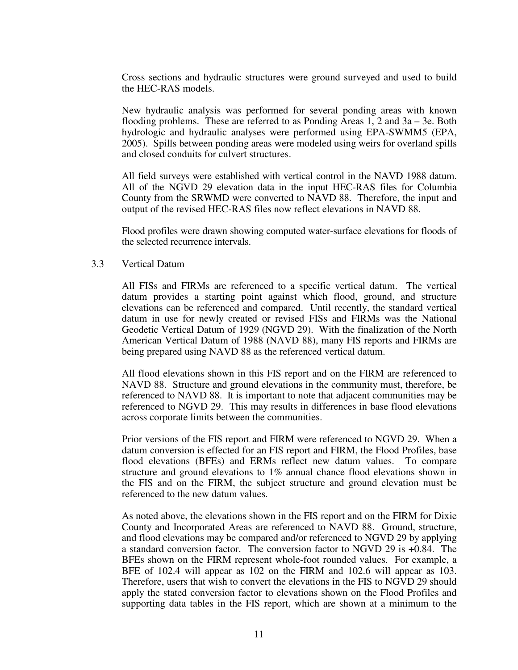Cross sections and hydraulic structures were ground surveyed and used to build the HEC-RAS models.

 New hydraulic analysis was performed for several ponding areas with known flooding problems. These are referred to as Ponding Areas 1, 2 and 3a – 3e. Both hydrologic and hydraulic analyses were performed using EPA-SWMM5 (EPA, 2005). Spills between ponding areas were modeled using weirs for overland spills and closed conduits for culvert structures.

All field surveys were established with vertical control in the NAVD 1988 datum. All of the NGVD 29 elevation data in the input HEC-RAS files for Columbia County from the SRWMD were converted to NAVD 88. Therefore, the input and output of the revised HEC-RAS files now reflect elevations in NAVD 88.

 Flood profiles were drawn showing computed water-surface elevations for floods of the selected recurrence intervals.

#### 3.3 Vertical Datum

All FISs and FIRMs are referenced to a specific vertical datum. The vertical datum provides a starting point against which flood, ground, and structure elevations can be referenced and compared. Until recently, the standard vertical datum in use for newly created or revised FISs and FIRMs was the National Geodetic Vertical Datum of 1929 (NGVD 29). With the finalization of the North American Vertical Datum of 1988 (NAVD 88), many FIS reports and FIRMs are being prepared using NAVD 88 as the referenced vertical datum.

All flood elevations shown in this FIS report and on the FIRM are referenced to NAVD 88. Structure and ground elevations in the community must, therefore, be referenced to NAVD 88. It is important to note that adjacent communities may be referenced to NGVD 29. This may results in differences in base flood elevations across corporate limits between the communities.

Prior versions of the FIS report and FIRM were referenced to NGVD 29. When a datum conversion is effected for an FIS report and FIRM, the Flood Profiles, base flood elevations (BFEs) and ERMs reflect new datum values. To compare structure and ground elevations to 1% annual chance flood elevations shown in the FIS and on the FIRM, the subject structure and ground elevation must be referenced to the new datum values.

As noted above, the elevations shown in the FIS report and on the FIRM for Dixie County and Incorporated Areas are referenced to NAVD 88. Ground, structure, and flood elevations may be compared and/or referenced to NGVD 29 by applying a standard conversion factor. The conversion factor to NGVD 29 is +0.84. The BFEs shown on the FIRM represent whole-foot rounded values. For example, a BFE of 102.4 will appear as 102 on the FIRM and 102.6 will appear as 103. Therefore, users that wish to convert the elevations in the FIS to NGVD 29 should apply the stated conversion factor to elevations shown on the Flood Profiles and supporting data tables in the FIS report, which are shown at a minimum to the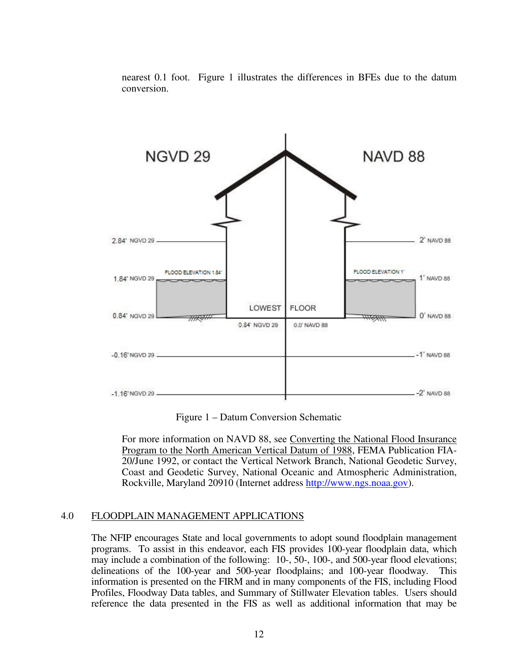

nearest 0.1 foot. Figure 1 illustrates the differences in BFEs due to the datum conversion.

Figure 1 – Datum Conversion Schematic

For more information on NAVD 88, see Converting the National Flood Insurance Program to the North American Vertical Datum of 1988, FEMA Publication FIA-20/June 1992, or contact the Vertical Network Branch, National Geodetic Survey, Coast and Geodetic Survey, National Oceanic and Atmospheric Administration, Rockville, Maryland 20910 (Internet address http://www.ngs.noaa.gov).

#### 4.0 FLOODPLAIN MANAGEMENT APPLICATIONS

 The NFIP encourages State and local governments to adopt sound floodplain management programs. To assist in this endeavor, each FIS provides 100-year floodplain data, which may include a combination of the following: 10-, 50-, 100-, and 500-year flood elevations; delineations of the 100-year and 500-year floodplains; and 100-year floodway. This information is presented on the FIRM and in many components of the FIS, including Flood Profiles, Floodway Data tables, and Summary of Stillwater Elevation tables. Users should reference the data presented in the FIS as well as additional information that may be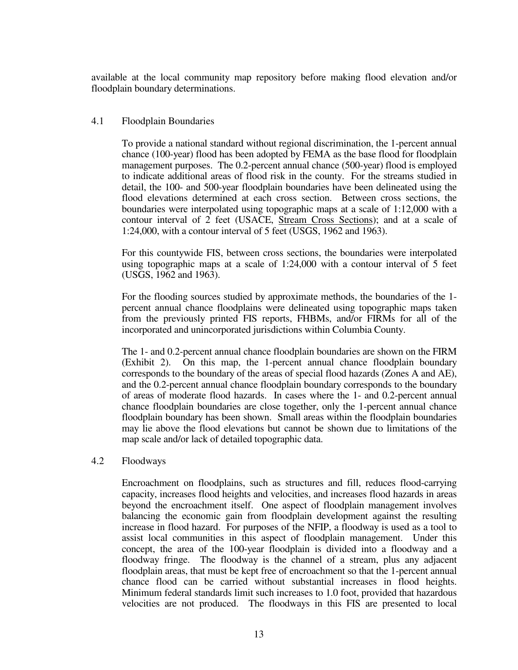available at the local community map repository before making flood elevation and/or floodplain boundary determinations.

#### 4.1 Floodplain Boundaries

 To provide a national standard without regional discrimination, the 1-percent annual chance (100-year) flood has been adopted by FEMA as the base flood for floodplain management purposes. The 0.2-percent annual chance (500-year) flood is employed to indicate additional areas of flood risk in the county. For the streams studied in detail, the 100- and 500-year floodplain boundaries have been delineated using the flood elevations determined at each cross section. Between cross sections, the boundaries were interpolated using topographic maps at a scale of 1:12,000 with a contour interval of 2 feet (USACE, Stream Cross Sections); and at a scale of 1:24,000, with a contour interval of 5 feet (USGS, 1962 and 1963).

 For this countywide FIS, between cross sections, the boundaries were interpolated using topographic maps at a scale of 1:24,000 with a contour interval of 5 feet (USGS, 1962 and 1963).

 For the flooding sources studied by approximate methods, the boundaries of the 1 percent annual chance floodplains were delineated using topographic maps taken from the previously printed FIS reports, FHBMs, and/or FIRMs for all of the incorporated and unincorporated jurisdictions within Columbia County.

 The 1- and 0.2-percent annual chance floodplain boundaries are shown on the FIRM (Exhibit 2). On this map, the 1-percent annual chance floodplain boundary corresponds to the boundary of the areas of special flood hazards (Zones A and AE), and the 0.2-percent annual chance floodplain boundary corresponds to the boundary of areas of moderate flood hazards. In cases where the 1- and 0.2-percent annual chance floodplain boundaries are close together, only the 1-percent annual chance floodplain boundary has been shown. Small areas within the floodplain boundaries may lie above the flood elevations but cannot be shown due to limitations of the map scale and/or lack of detailed topographic data.

#### 4.2 Floodways

 Encroachment on floodplains, such as structures and fill, reduces flood-carrying capacity, increases flood heights and velocities, and increases flood hazards in areas beyond the encroachment itself. One aspect of floodplain management involves balancing the economic gain from floodplain development against the resulting increase in flood hazard. For purposes of the NFIP, a floodway is used as a tool to assist local communities in this aspect of floodplain management. Under this concept, the area of the 100-year floodplain is divided into a floodway and a floodway fringe. The floodway is the channel of a stream, plus any adjacent floodplain areas, that must be kept free of encroachment so that the 1-percent annual chance flood can be carried without substantial increases in flood heights. Minimum federal standards limit such increases to 1.0 foot, provided that hazardous velocities are not produced. The floodways in this FIS are presented to local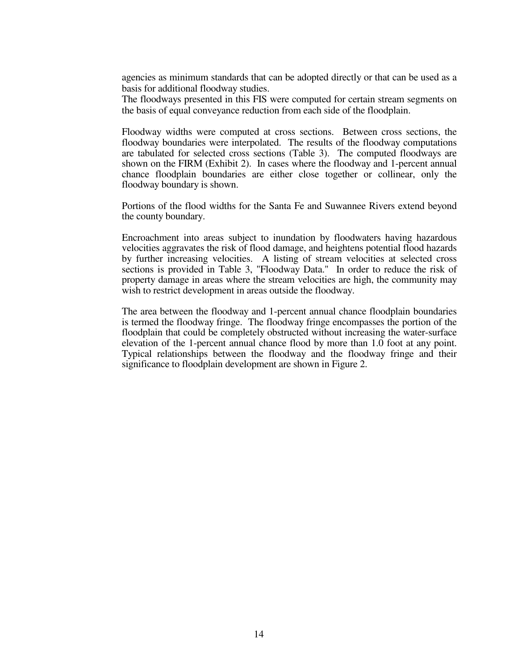agencies as minimum standards that can be adopted directly or that can be used as a basis for additional floodway studies.

 The floodways presented in this FIS were computed for certain stream segments on the basis of equal conveyance reduction from each side of the floodplain.

 Floodway widths were computed at cross sections. Between cross sections, the floodway boundaries were interpolated. The results of the floodway computations are tabulated for selected cross sections (Table 3). The computed floodways are shown on the FIRM (Exhibit 2). In cases where the floodway and 1-percent annual chance floodplain boundaries are either close together or collinear, only the floodway boundary is shown.

 Portions of the flood widths for the Santa Fe and Suwannee Rivers extend beyond the county boundary.

 Encroachment into areas subject to inundation by floodwaters having hazardous velocities aggravates the risk of flood damage, and heightens potential flood hazards by further increasing velocities. A listing of stream velocities at selected cross sections is provided in Table 3, "Floodway Data." In order to reduce the risk of property damage in areas where the stream velocities are high, the community may wish to restrict development in areas outside the floodway.

 The area between the floodway and 1-percent annual chance floodplain boundaries is termed the floodway fringe. The floodway fringe encompasses the portion of the floodplain that could be completely obstructed without increasing the water-surface elevation of the 1-percent annual chance flood by more than 1.0 foot at any point. Typical relationships between the floodway and the floodway fringe and their significance to floodplain development are shown in Figure 2.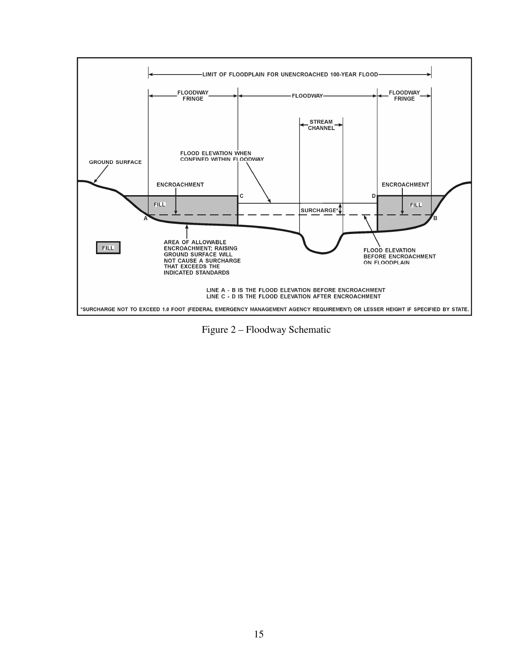

Figure 2 – Floodway Schematic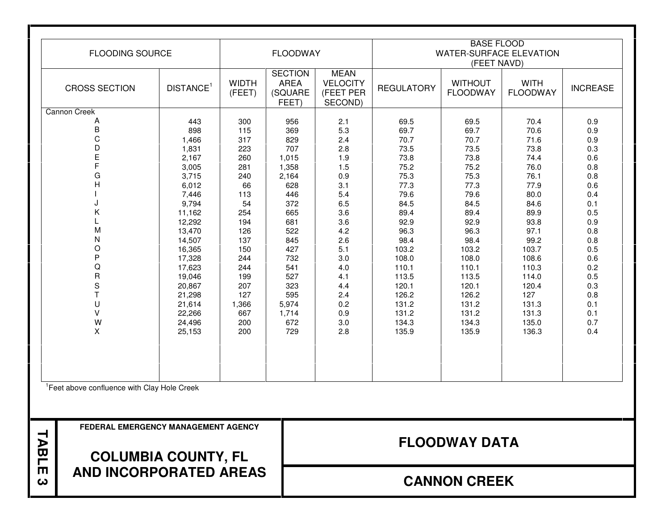| <b>FLOODING SOURCE</b>  | <b>FLOODWAY</b>       |                        |                                                   | <b>BASE FLOOD</b><br><b>WATER-SURFACE ELEVATION</b><br>(FEET NAVD) |                   |                                   |                                |                 |
|-------------------------|-----------------------|------------------------|---------------------------------------------------|--------------------------------------------------------------------|-------------------|-----------------------------------|--------------------------------|-----------------|
| <b>CROSS SECTION</b>    | DISTANCE <sup>1</sup> | <b>WIDTH</b><br>(FEET) | <b>SECTION</b><br><b>AREA</b><br>(SQUARE<br>FEET) | <b>MEAN</b><br><b>VELOCITY</b><br>(FEET PER<br>SECOND)             | <b>REGULATORY</b> | <b>WITHOUT</b><br><b>FLOODWAY</b> | <b>WITH</b><br><b>FLOODWAY</b> | <b>INCREASE</b> |
| <b>Cannon Creek</b>     |                       |                        |                                                   |                                                                    |                   |                                   |                                |                 |
| A                       | 443                   | 300                    | 956                                               | 2.1                                                                | 69.5              | 69.5                              | 70.4                           | 0.9             |
| $\sf B$                 | 898                   | 115                    | 369                                               | 5.3                                                                | 69.7              | 69.7                              | 70.6                           | 0.9             |
| $\mathsf C$             | 1,466                 | 317                    | 829                                               | 2.4                                                                | 70.7              | 70.7                              | 71.6                           | 0.9             |
| D                       | 1,831                 | 223                    | 707                                               | 2.8                                                                | 73.5              | 73.5                              | 73.8                           | 0.3             |
| E                       | 2,167                 | 260                    | 1,015                                             | 1.9                                                                | 73.8              | 73.8                              | 74.4                           | 0.6             |
| F                       | 3,005                 | 281                    | 1,358                                             | 1.5                                                                | 75.2              | 75.2                              | 76.0                           | 0.8             |
| G                       | 3,715                 | 240                    | 2,164                                             | 0.9                                                                | 75.3              | 75.3                              | 76.1                           | 0.8             |
| $\overline{H}$          | 6,012                 | 66                     | 628                                               | 3.1                                                                | 77.3              | 77.3                              | 77.9                           | 0.6             |
|                         | 7,446                 | 113                    | 446                                               | 5.4                                                                | 79.6              | 79.6                              | 80.0                           | 0.4             |
|                         | 9,794                 | 54                     | 372                                               | 6.5                                                                | 84.5              | 84.5                              | 84.6                           | 0.1             |
| Κ                       | 11,162                | 254                    | 665                                               | 3.6                                                                | 89.4              | 89.4                              | 89.9                           | 0.5             |
|                         | 12,292                | 194                    | 681                                               | 3.6                                                                | 92.9              | 92.9                              | 93.8                           | 0.9             |
| M                       | 13,470                | 126                    | 522                                               | 4.2                                                                | 96.3              | 96.3                              | 97.1                           | 0.8             |
| N                       | 14,507                | 137                    | 845                                               | 2.6                                                                | 98.4              | 98.4                              | 99.2                           | 0.8             |
| O                       | 16,365                | 150                    | 427                                               | 5.1                                                                | 103.2             | 103.2                             | 103.7                          | 0.5             |
| ${\sf P}$               | 17,328                | 244                    | 732                                               | 3.0                                                                | 108.0             | 108.0                             | 108.6                          | 0.6             |
| Q                       | 17,623                | 244                    | 541                                               | 4.0                                                                | 110.1             | 110.1                             | 110.3                          | 0.2             |
| $\overline{\mathsf{R}}$ | 19,046                | 199                    | 527                                               | 4.1                                                                | 113.5             | 113.5                             | 114.0                          | 0.5             |
| $\mathbf S$             | 20,867                | 207                    | 323                                               | 4.4                                                                | 120.1             | 120.1                             | 120.4                          | 0.3             |
| T                       | 21,298                | 127                    | 595                                               | 2.4                                                                | 126.2             | 126.2                             | 127                            | 0.8             |
| U                       | 21,614                | 1,366                  | 5,974                                             | 0.2                                                                | 131.2             | 131.2                             | 131.3                          | 0.1             |
| $\vee$                  | 22,266                | 667                    | 1,714                                             | 0.9                                                                | 131.2             | 131.2                             | 131.3                          | 0.1             |
| W                       | 24,496                | 200                    | 672                                               | 3.0                                                                | 134.3             | 134.3                             | 135.0                          | 0.7             |
| X                       | 25,153                | 200                    | 729                                               | 2.8                                                                | 135.9             | 135.9                             | 136.3                          | 0.4             |
|                         |                       |                        |                                                   |                                                                    |                   |                                   |                                |                 |

<sup>1</sup>Feet above confluence with Clay Hole Creek

**TABLE 3** 

**FEDERAL EMERGENCY MANAGEMENT AGENCY** 

# **FLOODWAY DATA**

# **COLUMBIA COUNTY, FL AND INCORPORATED AREAS**

# **CANNON CREEK**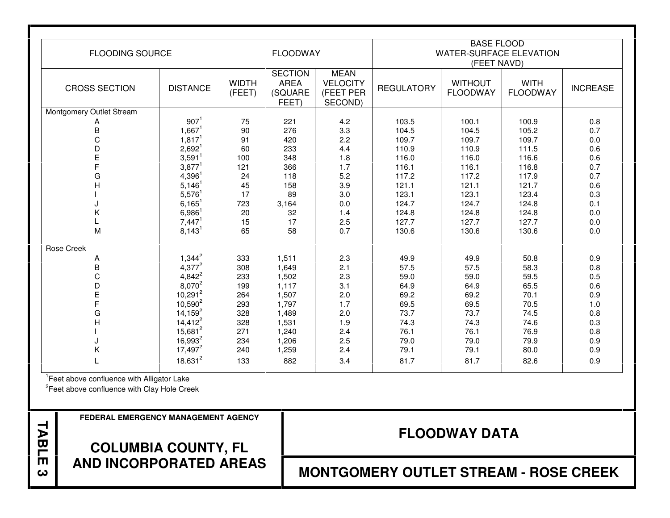| <b>FLOODING SOURCE</b>   |                      | <b>FLOODWAY</b>        |                                                   | <b>BASE FLOOD</b><br><b>WATER-SURFACE ELEVATION</b><br>(FEET NAVD) |                   |                                   |                                |                 |
|--------------------------|----------------------|------------------------|---------------------------------------------------|--------------------------------------------------------------------|-------------------|-----------------------------------|--------------------------------|-----------------|
| <b>CROSS SECTION</b>     | <b>DISTANCE</b>      | <b>WIDTH</b><br>(FEET) | <b>SECTION</b><br><b>AREA</b><br>(SQUARE<br>FEET) | <b>MEAN</b><br><b>VELOCITY</b><br>(FEET PER<br>SECOND)             | <b>REGULATORY</b> | <b>WITHOUT</b><br><b>FLOODWAY</b> | <b>WITH</b><br><b>FLOODWAY</b> | <b>INCREASE</b> |
| Montgomery Outlet Stream |                      |                        |                                                   |                                                                    |                   |                                   |                                |                 |
| Α                        | 907 <sup>1</sup>     | 75                     | 221                                               | 4.2                                                                | 103.5             | 100.1                             | 100.9                          | 0.8             |
| $\overline{B}$           | $1,667^1$            | 90                     | 276                                               | 3.3                                                                | 104.5             | 104.5                             | 105.2                          | 0.7             |
| $\mathsf C$              | 1,817 <sup>1</sup>   | 91                     | 420                                               | 2.2                                                                | 109.7             | 109.7                             | 109.7                          | 0.0             |
| D                        | $2,692^1$            | 60                     | 233                                               | 4.4                                                                | 110.9             | 110.9                             | 111.5                          | 0.6             |
| $\mathsf{E}$             | $3,591$ <sup>1</sup> | 100                    | 348                                               | 1.8                                                                | 116.0             | 116.0                             | 116.6                          | 0.6             |
| F                        | $3,877^1$            | 121                    | 366                                               | 1.7                                                                | 116.1             | 116.1                             | 116.8                          | 0.7             |
| G                        | $4,396^1$            | 24                     | 118                                               | 5.2                                                                | 117.2             | 117.2                             | 117.9                          | 0.7             |
| $\overline{H}$           | $5,146^1$            | 45                     | 158                                               | 3.9                                                                | 121.1             | 121.1                             | 121.7                          | 0.6             |
|                          | $5,576$ <sup>1</sup> | 17                     | 89                                                | 3.0                                                                | 123.1             | 123.1                             | 123.4                          | 0.3             |
|                          | $6,165^1$            | 723                    | 3,164                                             | 0.0                                                                | 124.7             | 124.7                             | 124.8                          | 0.1             |
| Κ                        | $6,986^1$            | 20                     | 32                                                | 1.4                                                                | 124.8             | 124.8                             | 124.8                          | 0.0             |
|                          | 7,447 <sup>1</sup>   | 15                     | 17                                                | 2.5                                                                | 127.7             | 127.7                             | 127.7                          | 0.0             |
| M                        | $8,143^1$            | 65                     | 58                                                | 0.7                                                                | 130.6             | 130.6                             | 130.6                          | 0.0             |
| <b>Rose Creek</b>        |                      |                        |                                                   |                                                                    |                   |                                   |                                |                 |
| A                        | $1,344^2$            | 333                    | 1,511                                             | 2.3                                                                | 49.9              | 49.9                              | 50.8                           | 0.9             |
| B                        | $4,377^2$            | 308                    | 1,649                                             | 2.1                                                                | 57.5              | 57.5                              | 58.3                           | 0.8             |
| $\mathsf C$              | $4,842^2$            | 233                    | 1,502                                             | 2.3                                                                | 59.0              | 59.0                              | 59.5                           | 0.5             |
| D                        | 8,070 <sup>2</sup>   | 199                    | 1,117                                             | 3.1                                                                | 64.9              | 64.9                              | 65.5                           | 0.6             |
| E                        | $10,291^2$           | 264                    | 1,507                                             | 2.0                                                                | 69.2              | 69.2                              | 70.1                           | 0.9             |
| $\overline{F}$           | $10,590^2$           | 293                    | 1,797                                             | 1.7                                                                | 69.5              | 69.5                              | 70.5                           | 1.0             |
| G                        | $14,159^2$           | 328                    | 1,489                                             | 2.0                                                                | 73.7              | 73.7                              | 74.5                           | 0.8             |
| H                        | $14,412^2$           | 328                    | 1,531                                             | 1.9                                                                | 74.3              | 74.3                              | 74.6                           | 0.3             |
|                          | $15,681^2$           | 271                    | 1,240                                             | 2.4                                                                | 76.1              | 76.1                              | 76.9                           | 0.8             |
|                          | $16,993^2$           | 234                    | 1,206                                             | 2.5                                                                | 79.0              | 79.0                              | 79.9                           | 0.9             |
| Κ                        | $17,497^2$           | 240                    | 1,259                                             | 2.4                                                                | 79.1              | 79.1                              | 80.0                           | 0.9             |
|                          | $18.631^{2}$         | 133                    | 882                                               | 3.4                                                                | 81.7              | 81.7                              | 82.6                           | 0.9             |

<sup>1</sup>Feet above confluence with Alligator Lake

**TABLE 3** 

 $2$ Feet above confluence with Clay Hole Creek

**FEDERAL EMERGENCY MANAGEMENT AGENCY** 

**FLOODWAY DATA** 

**COLUMBIA COUNTY, FL AND INCORPORATED AREAS** 

**MONTGOMERY OUTLET STREAM - ROSE CREEK**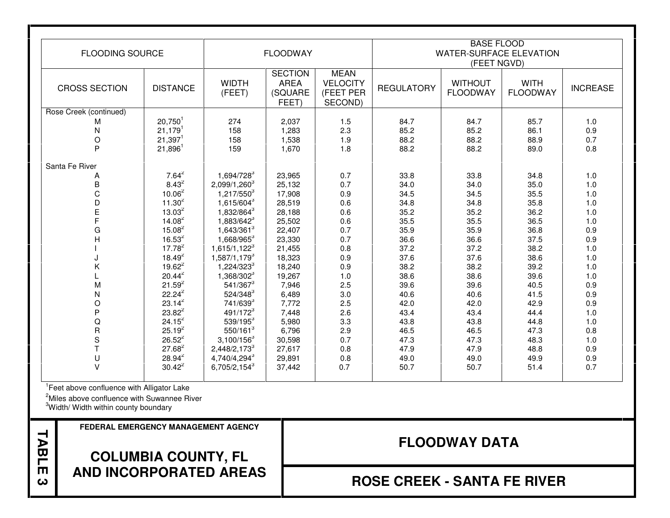| <b>FLOODING SOURCE</b> |                       | <b>FLOODWAY</b>          |                                                   | <b>BASE FLOOD</b><br><b>WATER-SURFACE ELEVATION</b><br>(FEET NGVD) |                   |                                   |                                |                 |
|------------------------|-----------------------|--------------------------|---------------------------------------------------|--------------------------------------------------------------------|-------------------|-----------------------------------|--------------------------------|-----------------|
| <b>CROSS SECTION</b>   | <b>DISTANCE</b>       | <b>WIDTH</b><br>(FEET)   | <b>SECTION</b><br><b>AREA</b><br>(SQUARE<br>FEET) | <b>MEAN</b><br><b>VELOCITY</b><br>(FEET PER<br>SECOND)             | <b>REGULATORY</b> | <b>WITHOUT</b><br><b>FLOODWAY</b> | <b>WITH</b><br><b>FLOODWAY</b> | <b>INCREASE</b> |
| Rose Creek (continued) |                       |                          |                                                   |                                                                    |                   |                                   |                                |                 |
| м                      | $20,750^1$            | 274                      | 2,037                                             | 1.5                                                                | 84.7              | 84.7                              | 85.7                           | 1.0             |
| $\mathsf{N}$           | $21,179$ <sup>1</sup> | 158                      | 1,283                                             | 2.3                                                                | 85.2              | 85.2                              | 86.1                           | $0.9\,$         |
| $\circ$                | $21,397$ <sup>1</sup> | 158                      | 1,538                                             | 1.9                                                                | 88.2              | 88.2                              | 88.9                           | 0.7             |
| $\mathsf{P}$           | $21,896^1$            | 159                      | 1,670                                             | 1.8                                                                | 88.2              | 88.2                              | 89.0                           | 0.8             |
| Santa Fe River         |                       |                          |                                                   |                                                                    |                   |                                   |                                |                 |
| Α                      | $7.64^2$              | 1,694/728 <sup>3</sup>   | 23,965                                            | 0.7                                                                | 33.8              | 33.8                              | 34.8                           | 1.0             |
| $\mathsf B$            | $8.43^{2}$            | 2,099/1,260 <sup>3</sup> | 25,132                                            | 0.7                                                                | 34.0              | 34.0                              | 35.0                           | $1.0$           |
| $\mathsf C$            | $10.06^2$             | $1,217/550^{3}$          | 17,908                                            | 0.9                                                                | 34.5              | 34.5                              | 35.5                           | 1.0             |
| D                      | $11.30^2$             | 1,615/604 <sup>3</sup>   | 28,519                                            | 0.6                                                                | 34.8              | 34.8                              | 35.8                           | $1.0$           |
| E                      | $13.03^{2}$           | 1,832/864 <sup>3</sup>   | 28,188                                            | 0.6                                                                | 35.2              | 35.2                              | 36.2                           | $1.0$           |
| F                      | $14.08^2$             | 1,883/642 <sup>3</sup>   | 25,502                                            | 0.6                                                                | 35.5              | 35.5                              | 36.5                           | $1.0$           |
| G                      | $15.08^{2}$           | 1,643/3613               | 22,407                                            | 0.7                                                                | 35.9              | 35.9                              | 36.8                           | $0.9\,$         |
| H                      | $16.53^{2}$           | 1,668/965 <sup>3</sup>   | 23,330                                            | 0.7                                                                | 36.6              | 36.6                              | 37.5                           | $0.9\,$         |
|                        | $17.78^{2}$           | 1,615/1,122 <sup>3</sup> | 21,455                                            | 0.8                                                                | 37.2              | 37.2                              | 38.2                           | $1.0$           |
|                        | $18.49^{2}$           | 1,587/1,179 <sup>3</sup> | 18,323                                            | 0.9                                                                | 37.6              | 37.6                              | 38.6                           | 1.0             |
| Κ                      | $19.62^2$             | 1,224/3233               | 18,240                                            | 0.9                                                                | 38.2              | 38.2                              | 39.2                           | $1.0$           |
|                        | $20.44^{2}$           | 1,368/302 <sup>3</sup>   | 19,267                                            | 1.0                                                                | 38.6              | 38.6                              | 39.6                           | 1.0             |
| M                      | $21.59^{2}$           | 541/367 <sup>3</sup>     | 7,946                                             | 2.5                                                                | 39.6              | 39.6                              | 40.5                           | $0.9\,$         |
| $\mathsf{N}$           | $22.24^2$             | 524/348 <sup>3</sup>     | 6,489                                             | 3.0                                                                | 40.6              | 40.6                              | 41.5                           | 0.9             |
| $\circ$                | $23.14^{2}$           | 741/639 <sup>3</sup>     | 7,772                                             | 2.5                                                                | 42.0              | 42.0                              | 42.9                           | 0.9             |
| $\mathsf{P}$           | $23.82^2$             | 491/1723                 | 7,448                                             | 2.6                                                                | 43.4              | 43.4                              | 44.4                           | $1.0$           |
| $\mathsf Q$            | $24.15^2$             | 539/195 <sup>3</sup>     | 5,980                                             | 3.3                                                                | 43.8              | 43.8                              | 44.8                           | 1.0             |
| $\mathsf{R}$           | $25.19^{2}$           | 550/1613                 | 6,796                                             | 2.9                                                                | 46.5              | 46.5                              | 47.3                           | 0.8             |
| $\mathbf S$            | $26.52^2$             | $3,100/156^3$            | 30,598                                            | 0.7                                                                | 47.3              | 47.3                              | 48.3                           | 1.0             |
| $\mathsf{T}$           | $27.68^2$             | 2,448/2,173 <sup>3</sup> | 27,617                                            | 0.8                                                                | 47.9              | 47.9                              | 48.8                           | 0.9             |
| U                      | $28.94^2$             | 4,740/4,2943             | 29,891                                            | 0.8                                                                | 49.0              | 49.0                              | 49.9                           | $0.9\,$         |
| $\vee$                 | $30.42^2$             | $6,705/2,154^3$          | 37,442                                            | 0.7                                                                | 50.7              | 50.7                              | 51.4                           | 0.7             |

<sup>1</sup>Feet above confluence with Alligator Lake

<sup>2</sup>Miles above confluence with Suwannee River

<sup>3</sup>Width/ Width within county boundary

**TABLE 3** 

**FEDERAL EMERGENCY MANAGEMENT AGENCY** 

# **COLUMBIA COUNTY, FL AND INCORPORATED AREAS**

# **FLOODWAY DATA**

**ROSE CREEK - SANTA FE RIVER**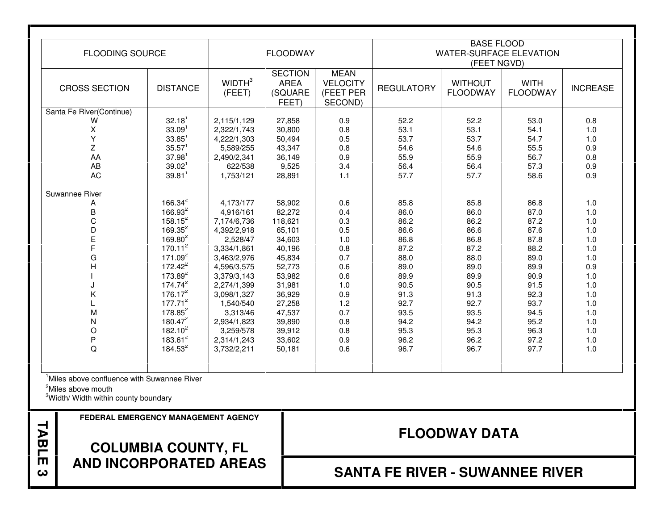| <b>FLOODING SOURCE</b>   |                      | <b>FLOODWAY</b>              |                                                   | <b>BASE FLOOD</b><br><b>WATER-SURFACE ELEVATION</b><br>(FEET NGVD) |                   |                                   |                                |                 |
|--------------------------|----------------------|------------------------------|---------------------------------------------------|--------------------------------------------------------------------|-------------------|-----------------------------------|--------------------------------|-----------------|
| <b>CROSS SECTION</b>     | <b>DISTANCE</b>      | WIDTH <sup>3</sup><br>(FEET) | <b>SECTION</b><br><b>AREA</b><br>(SQUARE<br>FEET) | <b>MEAN</b><br><b>VELOCITY</b><br>(FEET PER<br>SECOND)             | <b>REGULATORY</b> | <b>WITHOUT</b><br><b>FLOODWAY</b> | <b>WITH</b><br><b>FLOODWAY</b> | <b>INCREASE</b> |
| Santa Fe River(Continue) |                      |                              |                                                   |                                                                    |                   |                                   |                                |                 |
| W                        | 32.18 <sup>1</sup>   | 2,115/1,129                  | 27,858                                            | 0.9                                                                | 52.2              | 52.2                              | 53.0                           | 0.8             |
| X                        | 33.09 <sup>1</sup>   | 2,322/1,743                  | 30,800                                            | 0.8                                                                | 53.1              | 53.1                              | 54.1                           | 1.0             |
| Y                        | $33.85$ <sup>1</sup> | 4,222/1,303                  | 50,494                                            | 0.5                                                                | 53.7              | 53.7                              | 54.7                           | 1.0             |
| Z                        | $35.57$ <sup>1</sup> | 5,589/255                    | 43,347                                            | 0.8                                                                | 54.6              | 54.6                              | 55.5                           | 0.9             |
| AA                       | $37.98$ <sup>1</sup> | 2,490/2,341                  | 36,149                                            | 0.9                                                                | 55.9              | 55.9                              | 56.7                           | 0.8             |
| AB                       | 39.02 <sup>1</sup>   | 622/538                      | 9,525                                             | 3.4                                                                | 56.4              | 56.4                              | 57.3                           | 0.9             |
| <b>AC</b>                | $39.81$ <sup>1</sup> | 1,753/121                    | 28,891                                            | 1.1                                                                | 57.7              | 57.7                              | 58.6                           | 0.9             |
| Suwannee River           |                      |                              |                                                   |                                                                    |                   |                                   |                                |                 |
| A                        | $166.34^2$           | 4,173/177                    | 58,902                                            | 0.6                                                                | 85.8              | 85.8                              | 86.8                           | 1.0             |
| B                        | $166.93^{2}$         | 4,916/161                    | 82,272                                            | 0.4                                                                | 86.0              | 86.0                              | 87.0                           | 1.0             |
| C                        | $158.15^2$           | 7,174/6,736                  | 118,621                                           | 0.3                                                                | 86.2              | 86.2                              | 87.2                           | 1.0             |
| D                        | $169.35^2$           | 4,392/2,918                  | 65,101                                            | 0.5                                                                | 86.6              | 86.6                              | 87.6                           | 1.0             |
| E                        | $169.80^{2}$         | 2,528/47                     | 34,603                                            | 1.0                                                                | 86.8              | 86.8                              | 87.8                           | 1.0             |
|                          | $170.11^2$           | 3,334/1,861                  | 40,196                                            | 0.8                                                                | 87.2              | 87.2                              | 88.2                           | 1.0             |
| G                        | 171.09 <sup>2</sup>  | 3,463/2,976                  | 45,834                                            | 0.7                                                                | 88.0              | 88.0                              | 89.0                           | 1.0             |
| $\overline{H}$           | $172.42^2$           | 4,596/3,575                  | 52,773                                            | 0.6                                                                | 89.0              | 89.0                              | 89.9                           | 0.9             |
|                          | $173.89^{2}$         | 3,379/3,143                  | 53,982                                            | 0.6                                                                | 89.9              | 89.9                              | 90.9                           | 1.0             |
|                          | 174.74 <sup>2</sup>  | 2,274/1,399                  | 31,981                                            | 1.0                                                                | 90.5              | 90.5                              | 91.5                           | 1.0             |
| Κ                        | $176.17^{2}$         | 3,098/1,327                  | 36,929                                            | 0.9                                                                | 91.3              | 91.3                              | 92.3                           | 1.0             |
|                          | $177.71^2$           | 1,540/540                    | 27,258                                            | 1.2                                                                | 92.7              | 92.7                              | 93.7                           | 1.0             |
| M                        | $178.85^2$           | 3,313/46                     | 47,537                                            | 0.7                                                                | 93.5              | 93.5                              | 94.5                           | 1.0             |
| N                        | $180.47^2$           | 2,934/1,823                  | 39,890                                            | 0.8                                                                | 94.2              | 94.2                              | 95.2                           | 1.0             |
| $\circ$                  | $182.10^2$           | 3,259/578                    | 39,912                                            | 0.8                                                                | 95.3              | 95.3                              | 96.3                           | 1.0             |
| P                        | $183.61^2$           | 2,314/1,243                  | 33,602                                            | 0.9                                                                | 96.2              | 96.2                              | 97.2                           | 1.0             |
| Q                        | $184.53^2$           | 3,732/2,211                  | 50,181                                            | 0.6                                                                | 96.7              | 96.7                              | 97.7                           | 1.0             |

<sup>1</sup>Miles above confluence with Suwannee River

<sup>2</sup>Miles above mouth

**TABLE 3** 

<sup>3</sup>Width/ Width within county boundary

**FEDERAL EMERGENCY MANAGEMENT AGENCY** 

**FLOODWAY DATA** 

# **COLUMBIA COUNTY, FL AND INCORPORATED AREAS**

# **SANTA FE RIVER - SUWANNEE RIVER**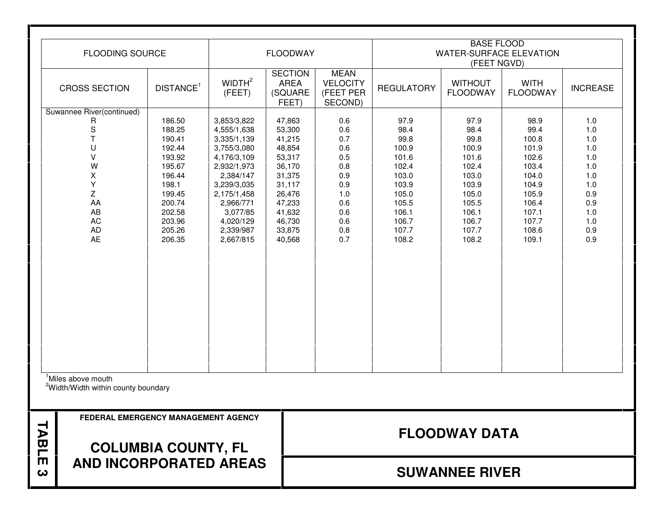| TABLE<br>ω | <b>AND INCORPORATED AREAS</b>                                                     | <b>COLUMBIA COUNTY, FL</b> |                                         |                                                   |                                                        |                         | <b>SUWANNEE RIVER</b>                         |                                |                   |  |  |
|------------|-----------------------------------------------------------------------------------|----------------------------|-----------------------------------------|---------------------------------------------------|--------------------------------------------------------|-------------------------|-----------------------------------------------|--------------------------------|-------------------|--|--|
|            | FEDERAL EMERGENCY MANAGEMENT AGENCY                                               |                            |                                         |                                                   | <b>FLOODWAY DATA</b>                                   |                         |                                               |                                |                   |  |  |
|            | <sup>1</sup> Miles above mouth<br><sup>2</sup> Width/Width within county boundary |                            |                                         |                                                   |                                                        |                         |                                               |                                |                   |  |  |
|            |                                                                                   |                            |                                         |                                                   |                                                        |                         |                                               |                                |                   |  |  |
|            |                                                                                   |                            |                                         |                                                   |                                                        |                         |                                               |                                |                   |  |  |
|            |                                                                                   |                            |                                         |                                                   |                                                        |                         |                                               |                                |                   |  |  |
|            |                                                                                   |                            |                                         |                                                   |                                                        |                         |                                               |                                |                   |  |  |
|            |                                                                                   |                            |                                         |                                                   |                                                        |                         |                                               |                                |                   |  |  |
|            | AC<br>AD<br>AE                                                                    | 203.96<br>205.26<br>206.35 | 4,020/129<br>2,339/987<br>2,667/815     | 46,730<br>33,875<br>40,568                        | 0.6<br>0.8<br>0.7                                      | 106.7<br>107.7<br>108.2 | 106.7<br>107.7<br>108.2                       | 107.7<br>108.6<br>109.1        | 1.0<br>0.9<br>0.9 |  |  |
|            | AA<br>AB                                                                          | 200.74<br>202.58           | 2,966/771<br>3,077/85                   | 47,233<br>41,632                                  | 0.6<br>0.6                                             | 105.5<br>106.1          | 105.5<br>106.1                                | 106.4<br>107.1                 | 0.9<br>1.0        |  |  |
|            | X<br>Υ<br>Z                                                                       | 196.44<br>198.1<br>199.45  | 2,384/147<br>3,239/3,035<br>2,175/1,458 | 31,375<br>31,117<br>26,476                        | 0.9<br>0.9<br>1.0                                      | 103.0<br>103.9<br>105.0 | 103.0<br>103.9<br>105.0                       | 104.0<br>104.9<br>105.9        | 1.0<br>1.0<br>0.9 |  |  |
|            | $\vee$<br>W                                                                       | 193.92<br>195.67           | 4,176/3,109<br>2,932/1,973              | 53,317<br>36,170                                  | 0.5<br>0.8                                             | 101.6<br>102.4          | 101.6<br>102.4                                | 102.6<br>103.4                 | 1.0<br>1.0        |  |  |
|            | T<br>U                                                                            | 190.41<br>192.44           | 3,335/1,139<br>3,755/3,080              | 41,215<br>48,854                                  | 0.7<br>0.6                                             | 99.8<br>100.9           | 99.8<br>100.9                                 | 100.8<br>101.9                 | 1.0<br>1.0        |  |  |
|            | Suwannee River(continued)<br>R<br>$\mathbf S$                                     | 186.50<br>188.25           | 3,853/3,822<br>4,555/1,638              | 47,863<br>53,300                                  | 0.6<br>0.6                                             | 97.9<br>98.4            | 97.9<br>98.4                                  | 98.9<br>99.4                   | 1.0<br>1.0        |  |  |
|            | <b>CROSS SECTION</b>                                                              | DISTANCE <sup>1</sup>      | WIDTH <sup>2</sup><br>(FEET)            | <b>SECTION</b><br><b>AREA</b><br>(SQUARE<br>FEET) | <b>MEAN</b><br><b>VELOCITY</b><br>(FEET PER<br>SECOND) | <b>REGULATORY</b>       | <b>WITHOUT</b><br><b>FLOODWAY</b>             | <b>WITH</b><br><b>FLOODWAY</b> | <b>INCREASE</b>   |  |  |
|            | <b>FLOODING SOURCE</b>                                                            |                            |                                         | <b>FLOODWAY</b>                                   |                                                        |                         | <b>WATER-SURFACE ELEVATION</b><br>(FEET NGVD) |                                |                   |  |  |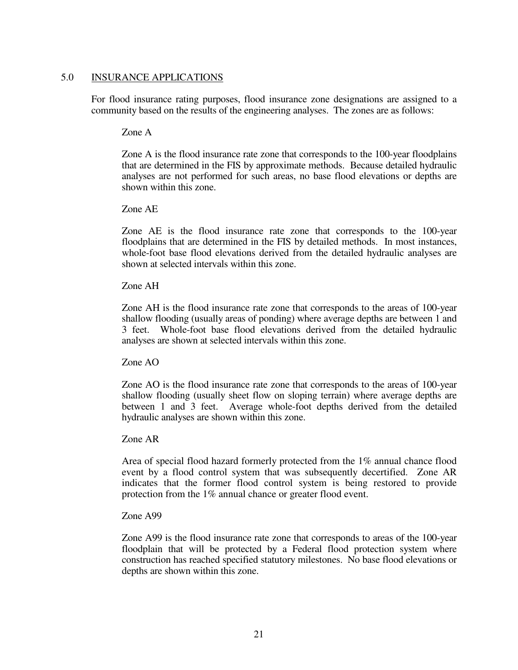#### 5.0 INSURANCE APPLICATIONS

 For flood insurance rating purposes, flood insurance zone designations are assigned to a community based on the results of the engineering analyses. The zones are as follows:

#### Zone A

 Zone A is the flood insurance rate zone that corresponds to the 100-year floodplains that are determined in the FIS by approximate methods. Because detailed hydraulic analyses are not performed for such areas, no base flood elevations or depths are shown within this zone.

#### Zone AE

 Zone AE is the flood insurance rate zone that corresponds to the 100-year floodplains that are determined in the FIS by detailed methods. In most instances, whole-foot base flood elevations derived from the detailed hydraulic analyses are shown at selected intervals within this zone.

#### Zone AH

 Zone AH is the flood insurance rate zone that corresponds to the areas of 100-year shallow flooding (usually areas of ponding) where average depths are between 1 and 3 feet. Whole-foot base flood elevations derived from the detailed hydraulic analyses are shown at selected intervals within this zone.

#### Zone AO

 Zone AO is the flood insurance rate zone that corresponds to the areas of 100-year shallow flooding (usually sheet flow on sloping terrain) where average depths are between 1 and 3 feet. Average whole-foot depths derived from the detailed hydraulic analyses are shown within this zone.

#### Zone AR

Area of special flood hazard formerly protected from the 1% annual chance flood event by a flood control system that was subsequently decertified. Zone AR indicates that the former flood control system is being restored to provide protection from the 1% annual chance or greater flood event.

#### Zone A99

 Zone A99 is the flood insurance rate zone that corresponds to areas of the 100-year floodplain that will be protected by a Federal flood protection system where construction has reached specified statutory milestones. No base flood elevations or depths are shown within this zone.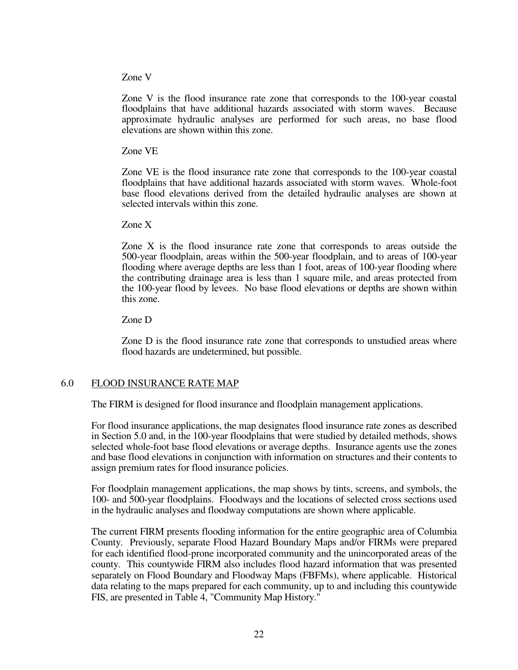#### Zone V

 Zone V is the flood insurance rate zone that corresponds to the 100-year coastal floodplains that have additional hazards associated with storm waves. Because approximate hydraulic analyses are performed for such areas, no base flood elevations are shown within this zone.

Zone VE

 Zone VE is the flood insurance rate zone that corresponds to the 100-year coastal floodplains that have additional hazards associated with storm waves. Whole-foot base flood elevations derived from the detailed hydraulic analyses are shown at selected intervals within this zone.

Zone X

 Zone X is the flood insurance rate zone that corresponds to areas outside the 500-year floodplain, areas within the 500-year floodplain, and to areas of 100-year flooding where average depths are less than 1 foot, areas of 100-year flooding where the contributing drainage area is less than 1 square mile, and areas protected from the 100-year flood by levees. No base flood elevations or depths are shown within this zone.

Zone D

 Zone D is the flood insurance rate zone that corresponds to unstudied areas where flood hazards are undetermined, but possible.

#### 6.0 FLOOD INSURANCE RATE MAP

The FIRM is designed for flood insurance and floodplain management applications.

 For flood insurance applications, the map designates flood insurance rate zones as described in Section 5.0 and, in the 100-year floodplains that were studied by detailed methods, shows selected whole-foot base flood elevations or average depths. Insurance agents use the zones and base flood elevations in conjunction with information on structures and their contents to assign premium rates for flood insurance policies.

 For floodplain management applications, the map shows by tints, screens, and symbols, the 100- and 500-year floodplains. Floodways and the locations of selected cross sections used in the hydraulic analyses and floodway computations are shown where applicable.

 The current FIRM presents flooding information for the entire geographic area of Columbia County. Previously, separate Flood Hazard Boundary Maps and/or FIRMs were prepared for each identified flood-prone incorporated community and the unincorporated areas of the county. This countywide FIRM also includes flood hazard information that was presented separately on Flood Boundary and Floodway Maps (FBFMs), where applicable. Historical data relating to the maps prepared for each community, up to and including this countywide FIS, are presented in Table 4, "Community Map History."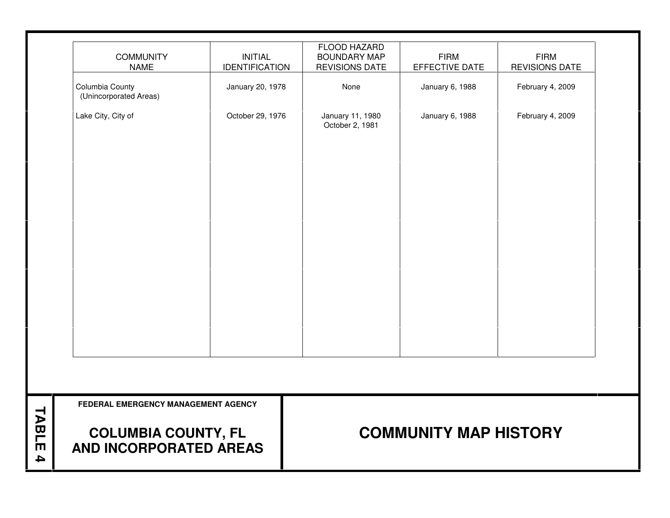| <b>COMMUNITY</b><br><b>NAME</b>                             | <b>INITIAL</b><br><b>IDENTIFICATION</b> | FLOOD HAZARD<br><b>BOUNDARY MAP</b><br><b>REVISIONS DATE</b> | <b>FIRM</b><br>EFFECTIVE DATE | <b>FIRM</b><br><b>REVISIONS DATE</b> |
|-------------------------------------------------------------|-----------------------------------------|--------------------------------------------------------------|-------------------------------|--------------------------------------|
| Columbia County<br>(Unincorporated Areas)                   | January 20, 1978                        | None                                                         | January 6, 1988               | February 4, 2009                     |
| Lake City, City of                                          | October 29, 1976                        | January 11, 1980<br>October 2, 1981                          | January 6, 1988               | February 4, 2009                     |
|                                                             |                                         |                                                              |                               |                                      |
|                                                             |                                         |                                                              |                               |                                      |
|                                                             |                                         |                                                              |                               |                                      |
|                                                             |                                         |                                                              |                               |                                      |
|                                                             |                                         |                                                              |                               |                                      |
|                                                             |                                         |                                                              |                               |                                      |
|                                                             |                                         |                                                              |                               |                                      |
| FEDERAL EMERGENCY MANAGEMENT AGENCY                         |                                         |                                                              |                               |                                      |
| <b>COLUMBIA COUNTY, FL</b><br><b>AND INCORPORATED AREAS</b> |                                         | <b>COMMUNITY MAP HISTORY</b>                                 |                               |                                      |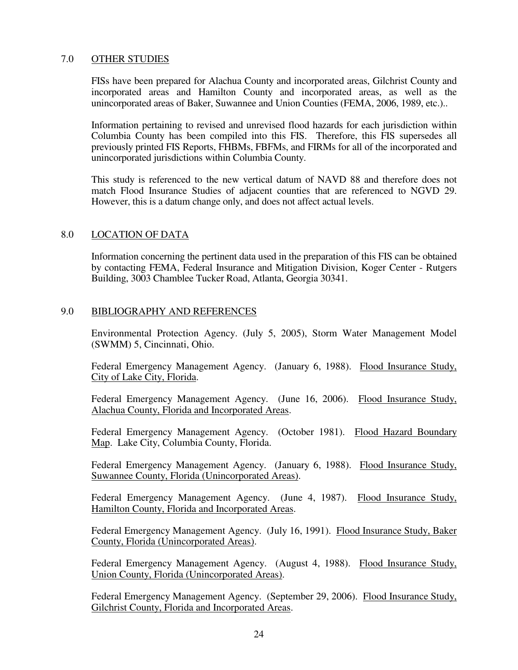#### 7.0 OTHER STUDIES

FISs have been prepared for Alachua County and incorporated areas, Gilchrist County and incorporated areas and Hamilton County and incorporated areas, as well as the unincorporated areas of Baker, Suwannee and Union Counties (FEMA, 2006, 1989, etc.)..

 Information pertaining to revised and unrevised flood hazards for each jurisdiction within Columbia County has been compiled into this FIS. Therefore, this FIS supersedes all previously printed FIS Reports, FHBMs, FBFMs, and FIRMs for all of the incorporated and unincorporated jurisdictions within Columbia County.

 This study is referenced to the new vertical datum of NAVD 88 and therefore does not match Flood Insurance Studies of adjacent counties that are referenced to NGVD 29. However, this is a datum change only, and does not affect actual levels.

#### 8.0 LOCATION OF DATA

 Information concerning the pertinent data used in the preparation of this FIS can be obtained by contacting FEMA, Federal Insurance and Mitigation Division, Koger Center - Rutgers Building, 3003 Chamblee Tucker Road, Atlanta, Georgia 30341.

#### 9.0 BIBLIOGRAPHY AND REFERENCES

Environmental Protection Agency. (July 5, 2005), Storm Water Management Model (SWMM) 5, Cincinnati, Ohio.

Federal Emergency Management Agency. (January 6, 1988). Flood Insurance Study, City of Lake City, Florida.

Federal Emergency Management Agency. (June 16, 2006). Flood Insurance Study, Alachua County, Florida and Incorporated Areas.

Federal Emergency Management Agency. (October 1981). Flood Hazard Boundary Map. Lake City, Columbia County, Florida.

Federal Emergency Management Agency. (January 6, 1988). Flood Insurance Study, Suwannee County, Florida (Unincorporated Areas).

Federal Emergency Management Agency. (June 4, 1987). Flood Insurance Study, Hamilton County, Florida and Incorporated Areas.

Federal Emergency Management Agency. (July 16, 1991). Flood Insurance Study, Baker County, Florida (Unincorporated Areas).

Federal Emergency Management Agency. (August 4, 1988). Flood Insurance Study, Union County, Florida (Unincorporated Areas).

Federal Emergency Management Agency. (September 29, 2006). Flood Insurance Study, Gilchrist County, Florida and Incorporated Areas.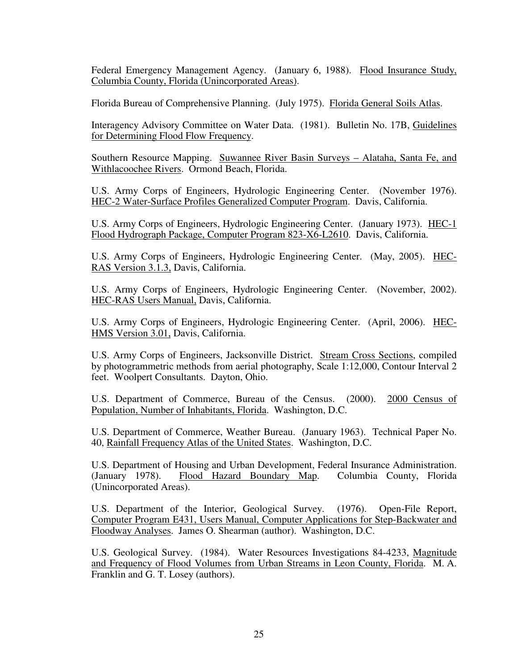Federal Emergency Management Agency. (January 6, 1988). Flood Insurance Study, Columbia County, Florida (Unincorporated Areas).

Florida Bureau of Comprehensive Planning. (July 1975). Florida General Soils Atlas.

Interagency Advisory Committee on Water Data. (1981). Bulletin No. 17B, Guidelines for Determining Flood Flow Frequency.

Southern Resource Mapping. Suwannee River Basin Surveys – Alataha, Santa Fe, and Withlacoochee Rivers. Ormond Beach, Florida.

U.S. Army Corps of Engineers, Hydrologic Engineering Center. (November 1976). HEC-2 Water-Surface Profiles Generalized Computer Program. Davis, California.

U.S. Army Corps of Engineers, Hydrologic Engineering Center. (January 1973). HEC-1 Flood Hydrograph Package, Computer Program 823-X6-L2610. Davis, California.

U.S. Army Corps of Engineers, Hydrologic Engineering Center. (May, 2005). HEC-RAS Version 3.1.3, Davis, California.

U.S. Army Corps of Engineers, Hydrologic Engineering Center. (November, 2002). HEC-RAS Users Manual, Davis, California.

U.S. Army Corps of Engineers, Hydrologic Engineering Center. (April, 2006). HEC-HMS Version 3.01, Davis, California.

U.S. Army Corps of Engineers, Jacksonville District. Stream Cross Sections, compiled by photogrammetric methods from aerial photography, Scale 1:12,000, Contour Interval 2 feet. Woolpert Consultants. Dayton, Ohio.

U.S. Department of Commerce, Bureau of the Census. (2000). 2000 Census of Population, Number of Inhabitants, Florida. Washington, D.C.

U.S. Department of Commerce, Weather Bureau. (January 1963). Technical Paper No. 40, Rainfall Frequency Atlas of the United States. Washington, D.C.

U.S. Department of Housing and Urban Development, Federal Insurance Administration. (January 1978). Flood Hazard Boundary Map. Columbia County, Florida (Unincorporated Areas).

U.S. Department of the Interior, Geological Survey. (1976). Open-File Report, Computer Program E431, Users Manual, Computer Applications for Step-Backwater and Floodway Analyses. James O. Shearman (author). Washington, D.C.

U.S. Geological Survey. (1984). Water Resources Investigations 84-4233, Magnitude and Frequency of Flood Volumes from Urban Streams in Leon County, Florida. M. A. Franklin and G. T. Losey (authors).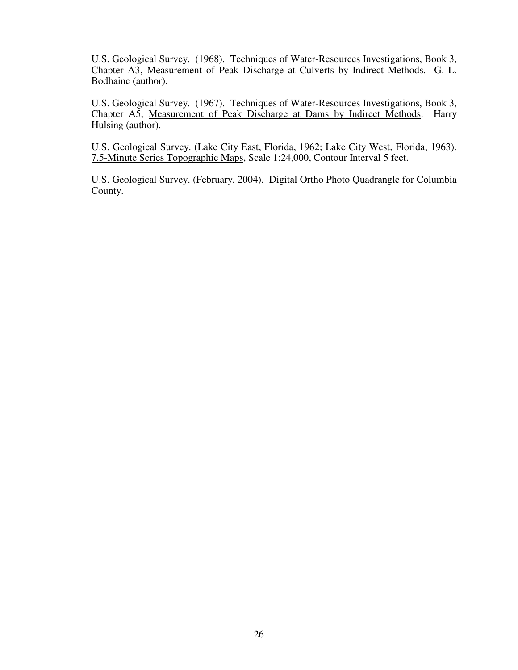U.S. Geological Survey. (1968). Techniques of Water-Resources Investigations, Book 3, Chapter A3, Measurement of Peak Discharge at Culverts by Indirect Methods. G. L. Bodhaine (author).

U.S. Geological Survey. (1967). Techniques of Water-Resources Investigations, Book 3, Chapter A5, Measurement of Peak Discharge at Dams by Indirect Methods. Harry Hulsing (author).

U.S. Geological Survey. (Lake City East, Florida, 1962; Lake City West, Florida, 1963). 7.5-Minute Series Topographic Maps, Scale 1:24,000, Contour Interval 5 feet.

U.S. Geological Survey. (February, 2004). Digital Ortho Photo Quadrangle for Columbia County.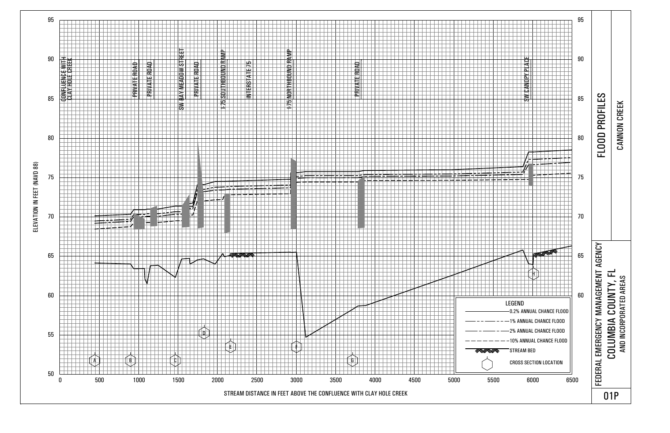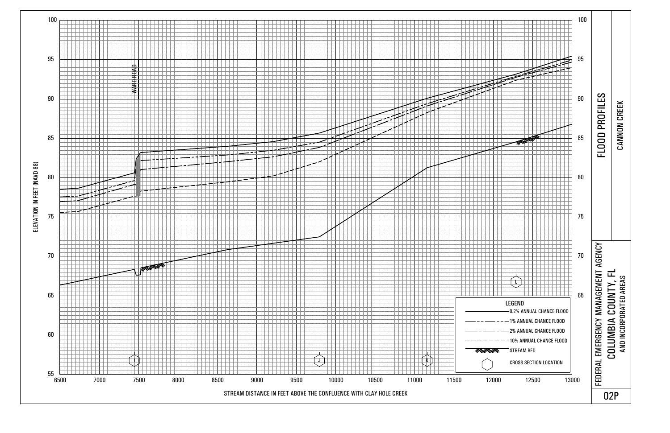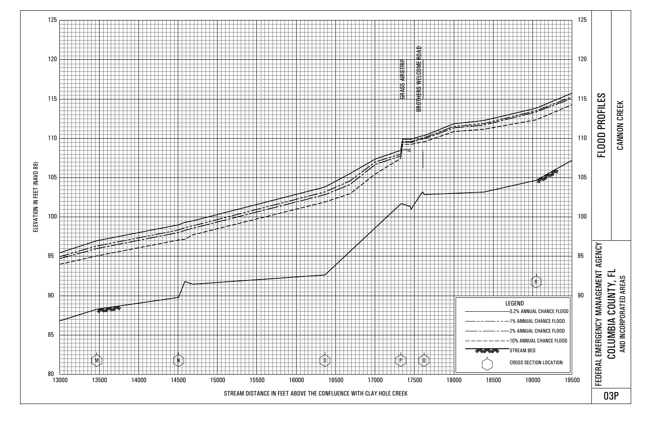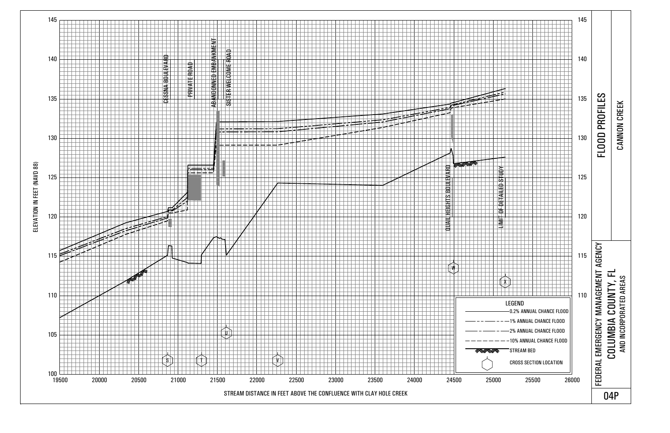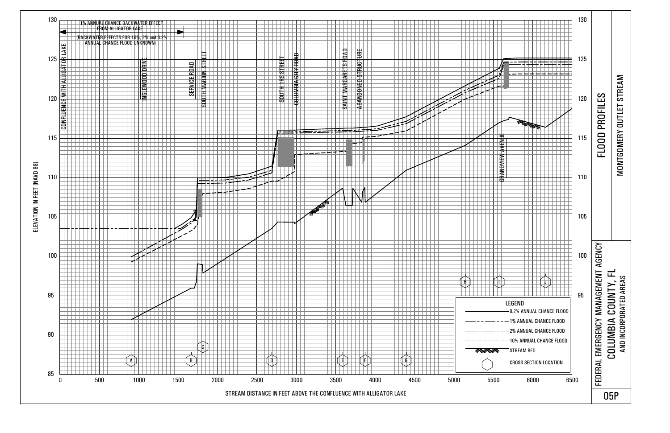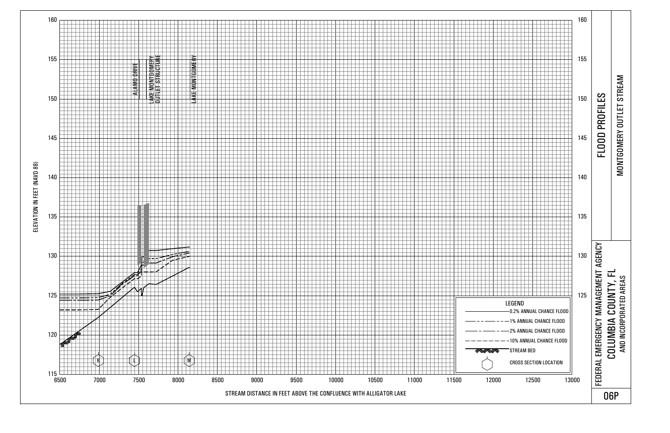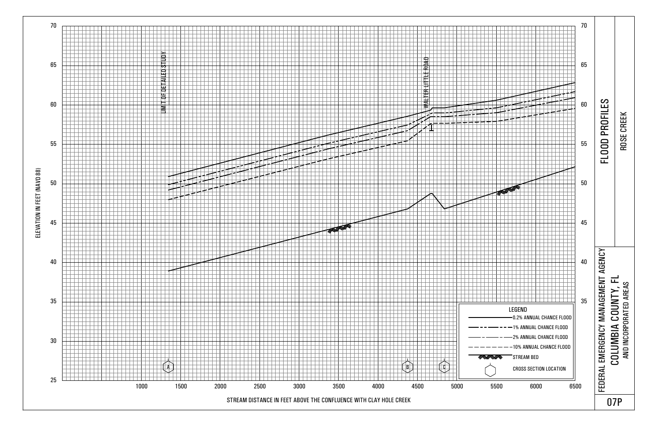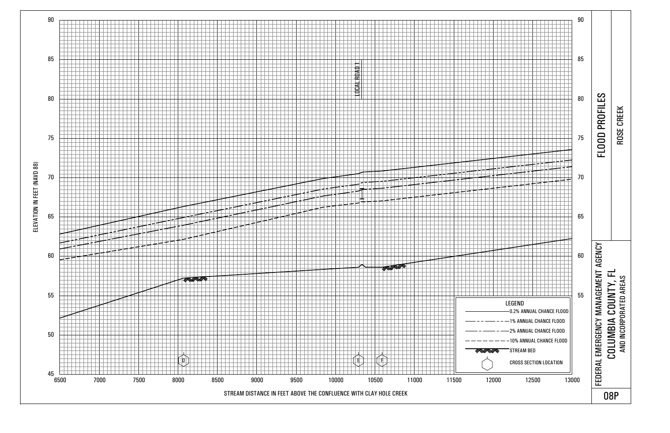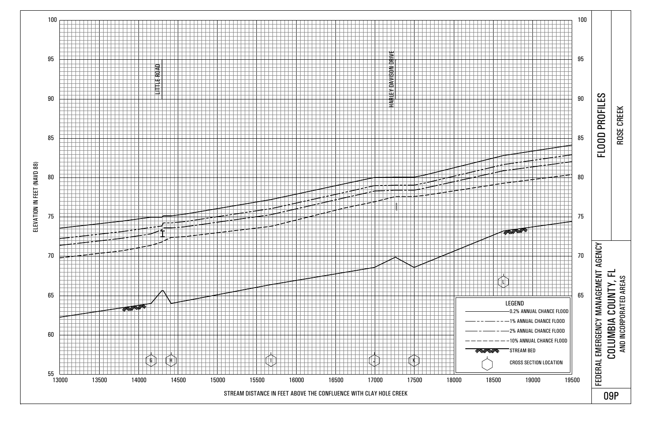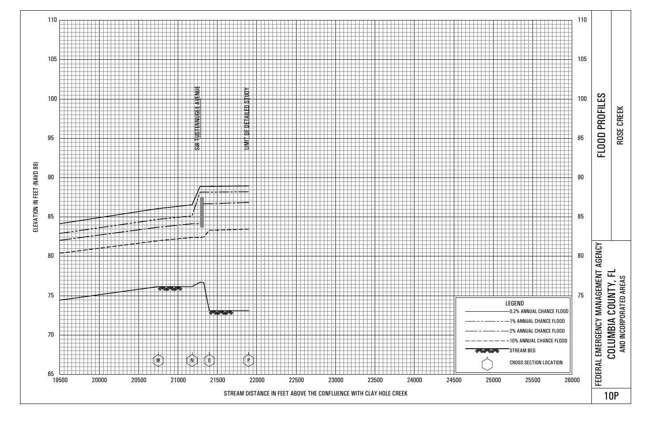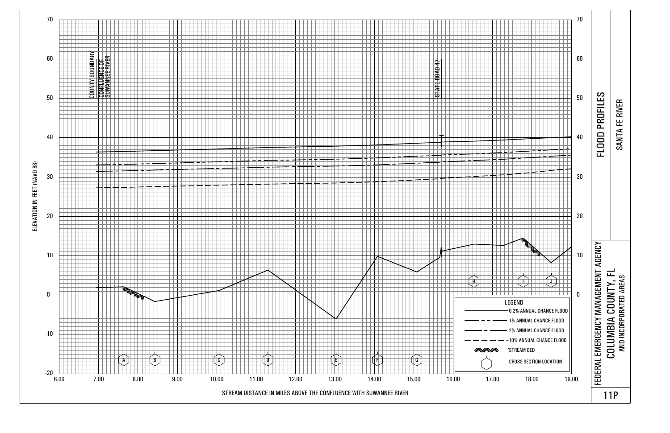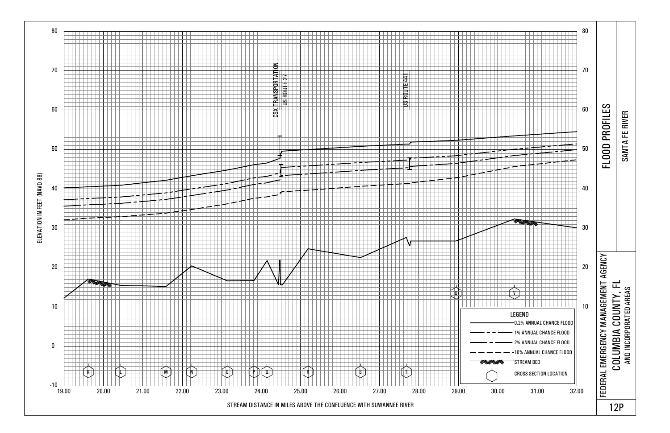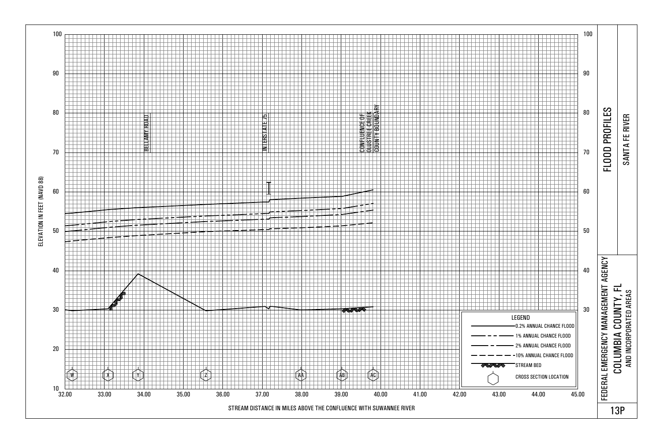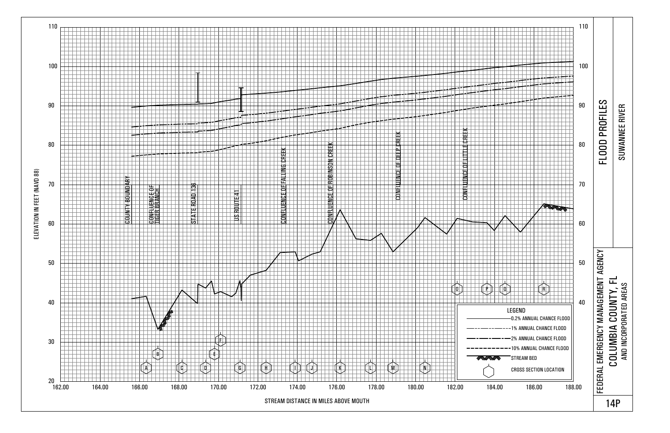